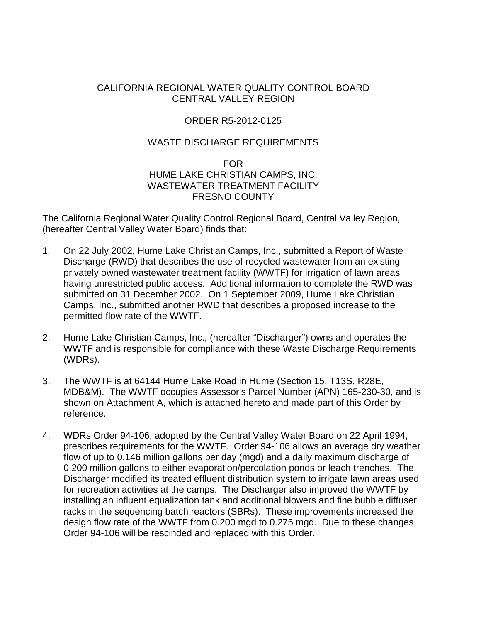## CALIFORNIA REGIONAL WATER QUALITY CONTROL BOARD CENTRAL VALLEY REGION

# ORDER R5-2012-0125

# WASTE DISCHARGE REQUIREMENTS

#### FOR HUME LAKE CHRISTIAN CAMPS, INC. WASTEWATER TREATMENT FACILITY FRESNO COUNTY

The California Regional Water Quality Control Regional Board, Central Valley Region, (hereafter Central Valley Water Board) finds that:

- 1. On 22 July 2002, Hume Lake Christian Camps, Inc., submitted a Report of Waste Discharge (RWD) that describes the use of recycled wastewater from an existing privately owned wastewater treatment facility (WWTF) for irrigation of lawn areas having unrestricted public access. Additional information to complete the RWD was submitted on 31 December 2002. On 1 September 2009, Hume Lake Christian Camps, Inc., submitted another RWD that describes a proposed increase to the permitted flow rate of the WWTF.
- 2. Hume Lake Christian Camps, Inc., (hereafter "Discharger") owns and operates the WWTF and is responsible for compliance with these Waste Discharge Requirements (WDRs).
- 3. The WWTF is at 64144 Hume Lake Road in Hume (Section 15, T13S, R28E, MDB&M). The WWTF occupies Assessor's Parcel Number (APN) 165-230-30, and is shown on Attachment A, which is attached hereto and made part of this Order by reference.
- 4. WDRs Order 94-106, adopted by the Central Valley Water Board on 22 April 1994, prescribes requirements for the WWTF. Order 94-106 allows an average dry weather flow of up to 0.146 million gallons per day (mgd) and a daily maximum discharge of 0.200 million gallons to either evaporation/percolation ponds or leach trenches. The Discharger modified its treated effluent distribution system to irrigate lawn areas used for recreation activities at the camps. The Discharger also improved the WWTF by installing an influent equalization tank and additional blowers and fine bubble diffuser racks in the sequencing batch reactors (SBRs). These improvements increased the design flow rate of the WWTF from 0.200 mgd to 0.275 mgd. Due to these changes, Order 94-106 will be rescinded and replaced with this Order.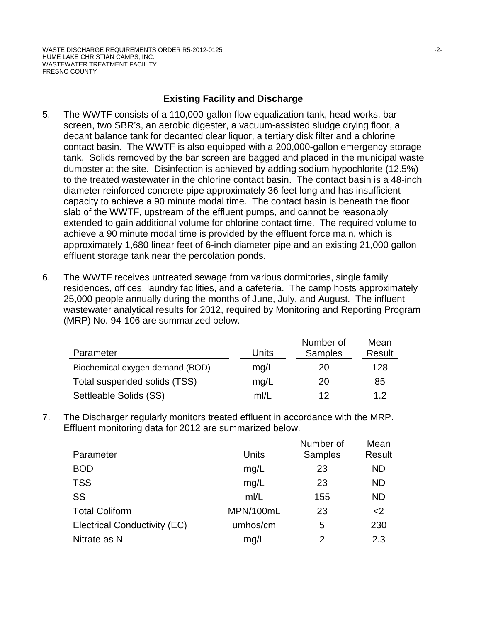# **Existing Facility and Discharge**

- 5. The WWTF consists of a 110,000-gallon flow equalization tank, head works, bar screen, two SBR's, an aerobic digester, a vacuum-assisted sludge drying floor, a decant balance tank for decanted clear liquor, a tertiary disk filter and a chlorine contact basin. The WWTF is also equipped with a 200,000-gallon emergency storage tank. Solids removed by the bar screen are bagged and placed in the municipal waste dumpster at the site. Disinfection is achieved by adding sodium hypochlorite (12.5%) to the treated wastewater in the chlorine contact basin. The contact basin is a 48-inch diameter reinforced concrete pipe approximately 36 feet long and has insufficient capacity to achieve a 90 minute modal time. The contact basin is beneath the floor slab of the WWTF, upstream of the effluent pumps, and cannot be reasonably extended to gain additional volume for chlorine contact time. The required volume to achieve a 90 minute modal time is provided by the effluent force main, which is approximately 1,680 linear feet of 6-inch diameter pipe and an existing 21,000 gallon effluent storage tank near the percolation ponds.
- 6. The WWTF receives untreated sewage from various dormitories, single family residences, offices, laundry facilities, and a cafeteria. The camp hosts approximately 25,000 people annually during the months of June, July, and August. The influent wastewater analytical results for 2012, required by Monitoring and Reporting Program (MRP) No. 94-106 are summarized below.

| Parameter                       | Units | Number of<br><b>Samples</b> | Mean<br>Result |
|---------------------------------|-------|-----------------------------|----------------|
| Biochemical oxygen demand (BOD) | mq/L  | 20                          | 128            |
| Total suspended solids (TSS)    | mq/L  | 20                          | 85             |
| Settleable Solids (SS)          | m/L   | 12                          | 12             |

7. The Discharger regularly monitors treated effluent in accordance with the MRP. Effluent monitoring data for 2012 are summarized below.

| Parameter                    | Units     | Number of<br><b>Samples</b> | Mean<br>Result |
|------------------------------|-----------|-----------------------------|----------------|
| <b>BOD</b>                   | mg/L      | 23                          | <b>ND</b>      |
| <b>TSS</b>                   | mg/L      | 23                          | <b>ND</b>      |
| SS                           | mI/L      | 155                         | <b>ND</b>      |
| <b>Total Coliform</b>        | MPN/100mL | 23                          | $<$ 2          |
| Electrical Conductivity (EC) | umhos/cm  | 5                           | 230            |
| Nitrate as N                 | mg/L      | 2                           | 2.3            |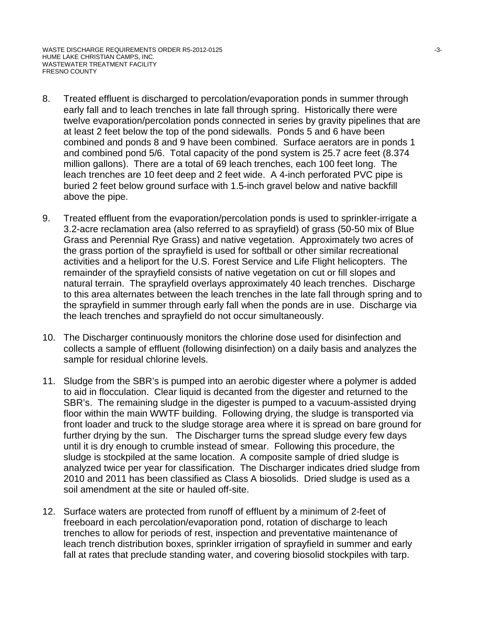- 8. Treated effluent is discharged to percolation/evaporation ponds in summer through early fall and to leach trenches in late fall through spring. Historically there were twelve evaporation/percolation ponds connected in series by gravity pipelines that are at least 2 feet below the top of the pond sidewalls. Ponds 5 and 6 have been combined and ponds 8 and 9 have been combined. Surface aerators are in ponds 1 and combined pond 5/6. Total capacity of the pond system is 25.7 acre feet (8.374 million gallons). There are a total of 69 leach trenches, each 100 feet long. The leach trenches are 10 feet deep and 2 feet wide. A 4-inch perforated PVC pipe is buried 2 feet below ground surface with 1.5-inch gravel below and native backfill above the pipe.
- 9. Treated effluent from the evaporation/percolation ponds is used to sprinkler-irrigate a 3.2-acre reclamation area (also referred to as sprayfield) of grass (50-50 mix of Blue Grass and Perennial Rye Grass) and native vegetation. Approximately two acres of the grass portion of the sprayfield is used for softball or other similar recreational activities and a heliport for the U.S. Forest Service and Life Flight helicopters. The remainder of the sprayfield consists of native vegetation on cut or fill slopes and natural terrain. The sprayfield overlays approximately 40 leach trenches. Discharge to this area alternates between the leach trenches in the late fall through spring and to the sprayfield in summer through early fall when the ponds are in use. Discharge via the leach trenches and sprayfield do not occur simultaneously.
- 10. The Discharger continuously monitors the chlorine dose used for disinfection and collects a sample of effluent (following disinfection) on a daily basis and analyzes the sample for residual chlorine levels.
- 11. Sludge from the SBR's is pumped into an aerobic digester where a polymer is added to aid in flocculation. Clear liquid is decanted from the digester and returned to the SBR's. The remaining sludge in the digester is pumped to a vacuum-assisted drying floor within the main WWTF building. Following drying, the sludge is transported via front loader and truck to the sludge storage area where it is spread on bare ground for further drying by the sun. The Discharger turns the spread sludge every few days until it is dry enough to crumble instead of smear. Following this procedure, the sludge is stockpiled at the same location. A composite sample of dried sludge is analyzed twice per year for classification. The Discharger indicates dried sludge from 2010 and 2011 has been classified as Class A biosolids. Dried sludge is used as a soil amendment at the site or hauled off-site.
- 12. Surface waters are protected from runoff of effluent by a minimum of 2-feet of freeboard in each percolation/evaporation pond, rotation of discharge to leach trenches to allow for periods of rest, inspection and preventative maintenance of leach trench distribution boxes, sprinkler irrigation of sprayfield in summer and early fall at rates that preclude standing water, and covering biosolid stockpiles with tarp.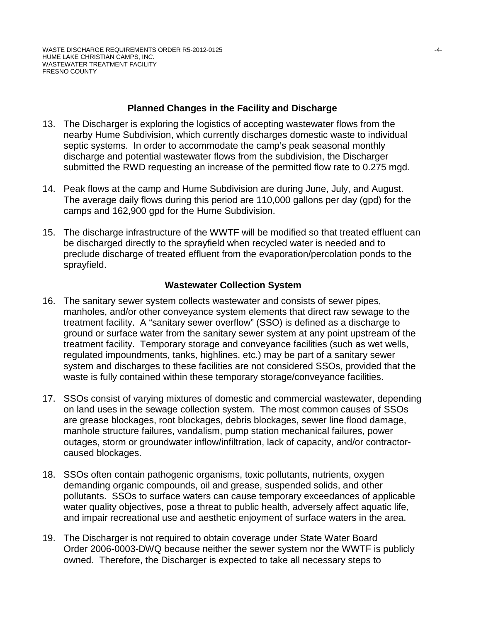#### **Planned Changes in the Facility and Discharge**

- 13. The Discharger is exploring the logistics of accepting wastewater flows from the nearby Hume Subdivision, which currently discharges domestic waste to individual septic systems. In order to accommodate the camp's peak seasonal monthly discharge and potential wastewater flows from the subdivision, the Discharger submitted the RWD requesting an increase of the permitted flow rate to 0.275 mgd.
- 14. Peak flows at the camp and Hume Subdivision are during June, July, and August. The average daily flows during this period are 110,000 gallons per day (gpd) for the camps and 162,900 gpd for the Hume Subdivision.
- 15. The discharge infrastructure of the WWTF will be modified so that treated effluent can be discharged directly to the sprayfield when recycled water is needed and to preclude discharge of treated effluent from the evaporation/percolation ponds to the sprayfield.

## **Wastewater Collection System**

- 16. The sanitary sewer system collects wastewater and consists of sewer pipes, manholes, and/or other conveyance system elements that direct raw sewage to the treatment facility. A "sanitary sewer overflow" (SSO) is defined as a discharge to ground or surface water from the sanitary sewer system at any point upstream of the treatment facility. Temporary storage and conveyance facilities (such as wet wells, regulated impoundments, tanks, highlines, etc.) may be part of a sanitary sewer system and discharges to these facilities are not considered SSOs, provided that the waste is fully contained within these temporary storage/conveyance facilities.
- 17. SSOs consist of varying mixtures of domestic and commercial wastewater, depending on land uses in the sewage collection system. The most common causes of SSOs are grease blockages, root blockages, debris blockages, sewer line flood damage, manhole structure failures, vandalism, pump station mechanical failures, power outages, storm or groundwater inflow/infiltration, lack of capacity, and/or contractorcaused blockages.
- 18. SSOs often contain pathogenic organisms, toxic pollutants, nutrients, oxygen demanding organic compounds, oil and grease, suspended solids, and other pollutants. SSOs to surface waters can cause temporary exceedances of applicable water quality objectives, pose a threat to public health, adversely affect aquatic life, and impair recreational use and aesthetic enjoyment of surface waters in the area.
- 19. The Discharger is not required to obtain coverage under State Water Board Order 2006-0003-DWQ because neither the sewer system nor the WWTF is publicly owned. Therefore, the Discharger is expected to take all necessary steps to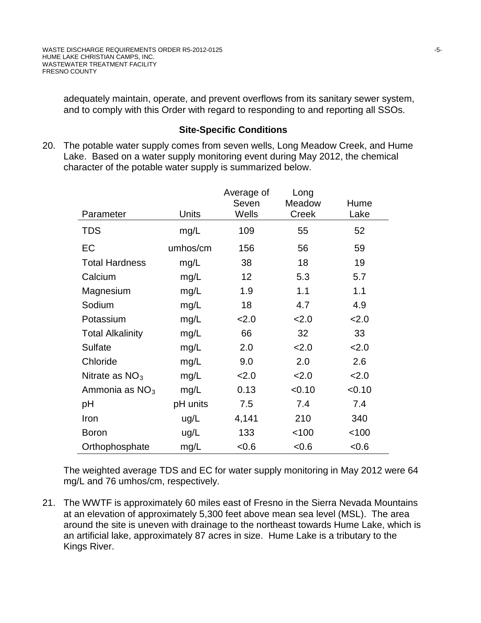adequately maintain, operate, and prevent overflows from its sanitary sewer system, and to comply with this Order with regard to responding to and reporting all SSOs.

## **Site-Specific Conditions**

20. The potable water supply comes from seven wells, Long Meadow Creek, and Hume Lake. Based on a water supply monitoring event during May 2012, the chemical character of the potable water supply is summarized below.

|                         |          | Average of<br>Seven | Long<br>Meadow | Hume   |
|-------------------------|----------|---------------------|----------------|--------|
| Parameter               | Units    | Wells               | Creek          | Lake   |
| <b>TDS</b>              | mg/L     | 109                 | 55             | 52     |
| EC                      | umhos/cm | 156                 | 56             | 59     |
| <b>Total Hardness</b>   | mg/L     | 38                  | 18             | 19     |
| Calcium                 | mg/L     | 12                  | 5.3            | 5.7    |
| Magnesium               | mg/L     | 1.9                 | 1.1            | 1.1    |
| Sodium                  | mg/L     | 18                  | 4.7            | 4.9    |
| Potassium               | mg/L     | 2.0                 | 2.0            | 2.0    |
| <b>Total Alkalinity</b> | mg/L     | 66                  | 32             | 33     |
| <b>Sulfate</b>          | mg/L     | 2.0                 | 2.0            | 2.0    |
| Chloride                | mg/L     | 9.0                 | 2.0            | 2.6    |
| Nitrate as $NO3$        | mg/L     | 2.0                 | 2.0            | 2.0    |
| Ammonia as $NO3$        | mg/L     | 0.13                | < 0.10         | < 0.10 |
| рH                      | pH units | 7.5                 | 7.4            | 7.4    |
| Iron                    | ug/L     | 4,141               | 210            | 340    |
| <b>Boron</b>            | ug/L     | 133                 | 100            | < 100  |
| Orthophosphate          | mg/L     | < 0.6               | < 0.6          | < 0.6  |

The weighted average TDS and EC for water supply monitoring in May 2012 were 64 mg/L and 76 umhos/cm, respectively.

21. The WWTF is approximately 60 miles east of Fresno in the Sierra Nevada Mountains at an elevation of approximately 5,300 feet above mean sea level (MSL). The area around the site is uneven with drainage to the northeast towards Hume Lake, which is an artificial lake, approximately 87 acres in size. Hume Lake is a tributary to the Kings River.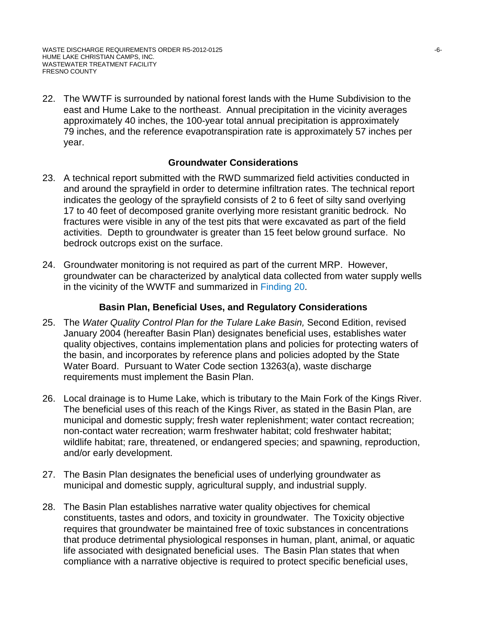22. The WWTF is surrounded by national forest lands with the Hume Subdivision to the east and Hume Lake to the northeast. Annual precipitation in the vicinity averages approximately 40 inches, the 100-year total annual precipitation is approximately 79 inches, and the reference evapotranspiration rate is approximately 57 inches per year.

## **Groundwater Considerations**

- 23. A technical report submitted with the RWD summarized field activities conducted in and around the sprayfield in order to determine infiltration rates. The technical report indicates the geology of the sprayfield consists of 2 to 6 feet of silty sand overlying 17 to 40 feet of decomposed granite overlying more resistant granitic bedrock. No fractures were visible in any of the test pits that were excavated as part of the field activities. Depth to groundwater is greater than 15 feet below ground surface. No bedrock outcrops exist on the surface.
- 24. Groundwater monitoring is not required as part of the current MRP. However, groundwater can be characterized by analytical data collected from water supply wells in the vicinity of the WWTF and summarized in Finding 20.

#### **Basin Plan, Beneficial Uses, and Regulatory Considerations**

- 25. The *Water Quality Control Plan for the Tulare Lake Basin,* Second Edition, revised January 2004 (hereafter Basin Plan) designates beneficial uses, establishes water quality objectives, contains implementation plans and policies for protecting waters of the basin, and incorporates by reference plans and policies adopted by the State Water Board. Pursuant to Water Code section 13263(a), waste discharge requirements must implement the Basin Plan.
- 26. Local drainage is to Hume Lake, which is tributary to the Main Fork of the Kings River. The beneficial uses of this reach of the Kings River, as stated in the Basin Plan, are municipal and domestic supply; fresh water replenishment; water contact recreation; non-contact water recreation; warm freshwater habitat; cold freshwater habitat; wildlife habitat; rare, threatened, or endangered species; and spawning, reproduction, and/or early development.
- 27. The Basin Plan designates the beneficial uses of underlying groundwater as municipal and domestic supply, agricultural supply, and industrial supply.
- 28. The Basin Plan establishes narrative water quality objectives for chemical constituents, tastes and odors, and toxicity in groundwater. The Toxicity objective requires that groundwater be maintained free of toxic substances in concentrations that produce detrimental physiological responses in human, plant, animal, or aquatic life associated with designated beneficial uses. The Basin Plan states that when compliance with a narrative objective is required to protect specific beneficial uses,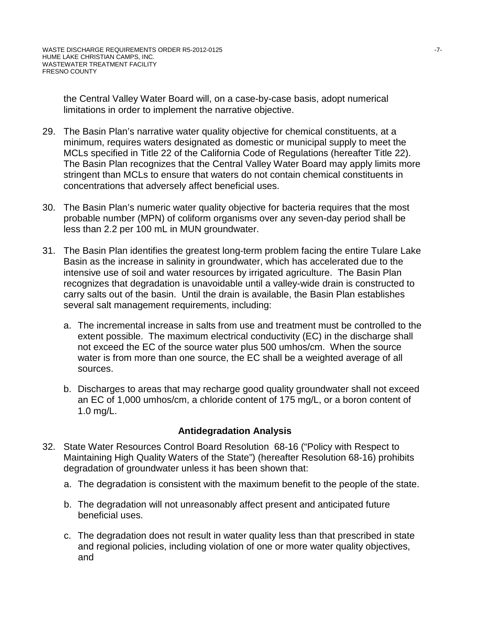the Central Valley Water Board will, on a case-by-case basis, adopt numerical limitations in order to implement the narrative objective.

- 29. The Basin Plan's narrative water quality objective for chemical constituents, at a minimum, requires waters designated as domestic or municipal supply to meet the MCLs specified in Title 22 of the California Code of Regulations (hereafter Title 22). The Basin Plan recognizes that the Central Valley Water Board may apply limits more stringent than MCLs to ensure that waters do not contain chemical constituents in concentrations that adversely affect beneficial uses.
- 30. The Basin Plan's numeric water quality objective for bacteria requires that the most probable number (MPN) of coliform organisms over any seven-day period shall be less than 2.2 per 100 mL in MUN groundwater.
- 31. The Basin Plan identifies the greatest long-term problem facing the entire Tulare Lake Basin as the increase in salinity in groundwater, which has accelerated due to the intensive use of soil and water resources by irrigated agriculture. The Basin Plan recognizes that degradation is unavoidable until a valley-wide drain is constructed to carry salts out of the basin. Until the drain is available, the Basin Plan establishes several salt management requirements, including:
	- a. The incremental increase in salts from use and treatment must be controlled to the extent possible. The maximum electrical conductivity (EC) in the discharge shall not exceed the EC of the source water plus 500 umhos/cm. When the source water is from more than one source, the EC shall be a weighted average of all sources.
	- b. Discharges to areas that may recharge good quality groundwater shall not exceed an EC of 1,000 umhos/cm, a chloride content of 175 mg/L, or a boron content of 1.0 mg/L.

## **Antidegradation Analysis**

- 32. State Water Resources Control Board Resolution 68-16 ("Policy with Respect to Maintaining High Quality Waters of the State") (hereafter Resolution 68-16) prohibits degradation of groundwater unless it has been shown that:
	- a. The degradation is consistent with the maximum benefit to the people of the state.
	- b. The degradation will not unreasonably affect present and anticipated future beneficial uses.
	- c. The degradation does not result in water quality less than that prescribed in state and regional policies, including violation of one or more water quality objectives, and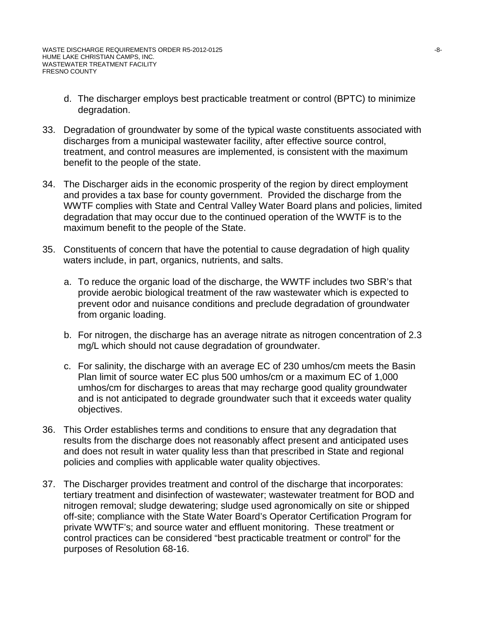- d. The discharger employs best practicable treatment or control (BPTC) to minimize degradation.
- 33. Degradation of groundwater by some of the typical waste constituents associated with discharges from a municipal wastewater facility, after effective source control, treatment, and control measures are implemented, is consistent with the maximum benefit to the people of the state.
- 34. The Discharger aids in the economic prosperity of the region by direct employment and provides a tax base for county government. Provided the discharge from the WWTF complies with State and Central Valley Water Board plans and policies, limited degradation that may occur due to the continued operation of the WWTF is to the maximum benefit to the people of the State.
- 35. Constituents of concern that have the potential to cause degradation of high quality waters include, in part, organics, nutrients, and salts.
	- a. To reduce the organic load of the discharge, the WWTF includes two SBR's that provide aerobic biological treatment of the raw wastewater which is expected to prevent odor and nuisance conditions and preclude degradation of groundwater from organic loading.
	- b. For nitrogen, the discharge has an average nitrate as nitrogen concentration of 2.3 mg/L which should not cause degradation of groundwater.
	- c. For salinity, the discharge with an average EC of 230 umhos/cm meets the Basin Plan limit of source water EC plus 500 umhos/cm or a maximum EC of 1,000 umhos/cm for discharges to areas that may recharge good quality groundwater and is not anticipated to degrade groundwater such that it exceeds water quality objectives.
- 36. This Order establishes terms and conditions to ensure that any degradation that results from the discharge does not reasonably affect present and anticipated uses and does not result in water quality less than that prescribed in State and regional policies and complies with applicable water quality objectives.
- 37. The Discharger provides treatment and control of the discharge that incorporates: tertiary treatment and disinfection of wastewater; wastewater treatment for BOD and nitrogen removal; sludge dewatering; sludge used agronomically on site or shipped off-site; compliance with the State Water Board's Operator Certification Program for private WWTF's; and source water and effluent monitoring. These treatment or control practices can be considered "best practicable treatment or control" for the purposes of Resolution 68-16.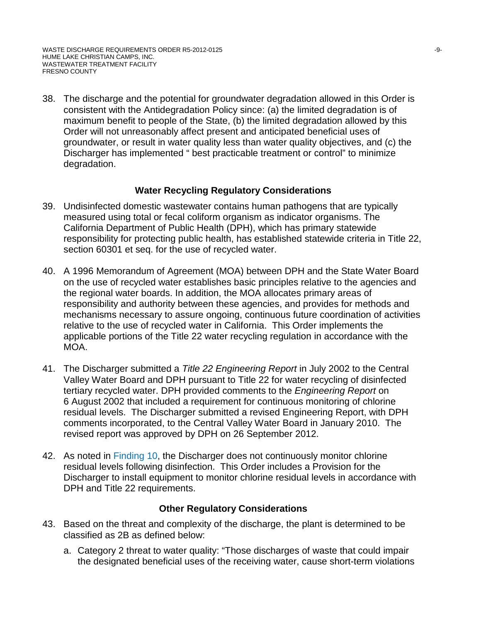38. The discharge and the potential for groundwater degradation allowed in this Order is consistent with the Antidegradation Policy since: (a) the limited degradation is of maximum benefit to people of the State, (b) the limited degradation allowed by this Order will not unreasonably affect present and anticipated beneficial uses of groundwater, or result in water quality less than water quality objectives, and (c) the Discharger has implemented " best practicable treatment or control" to minimize degradation.

# **Water Recycling Regulatory Considerations**

- 39. Undisinfected domestic wastewater contains human pathogens that are typically measured using total or fecal coliform organism as indicator organisms. The California Department of Public Health (DPH), which has primary statewide responsibility for protecting public health, has established statewide criteria in Title 22, section 60301 et seq. for the use of recycled water.
- 40. A 1996 Memorandum of Agreement (MOA) between DPH and the State Water Board on the use of recycled water establishes basic principles relative to the agencies and the regional water boards. In addition, the MOA allocates primary areas of responsibility and authority between these agencies, and provides for methods and mechanisms necessary to assure ongoing, continuous future coordination of activities relative to the use of recycled water in California. This Order implements the applicable portions of the Title 22 water recycling regulation in accordance with the MOA.
- 41. The Discharger submitted a *Title 22 Engineering Report* in July 2002 to the Central Valley Water Board and DPH pursuant to Title 22 for water recycling of disinfected tertiary recycled water. DPH provided comments to the *Engineering Report* on 6 August 2002 that included a requirement for continuous monitoring of chlorine residual levels. The Discharger submitted a revised Engineering Report, with DPH comments incorporated, to the Central Valley Water Board in January 2010. The revised report was approved by DPH on 26 September 2012.
- 42. As noted in Finding 10, the Discharger does not continuously monitor chlorine residual levels following disinfection. This Order includes a Provision for the Discharger to install equipment to monitor chlorine residual levels in accordance with DPH and Title 22 requirements.

## **Other Regulatory Considerations**

- 43. Based on the threat and complexity of the discharge, the plant is determined to be classified as 2B as defined below:
	- a. Category 2 threat to water quality: "Those discharges of waste that could impair the designated beneficial uses of the receiving water, cause short-term violations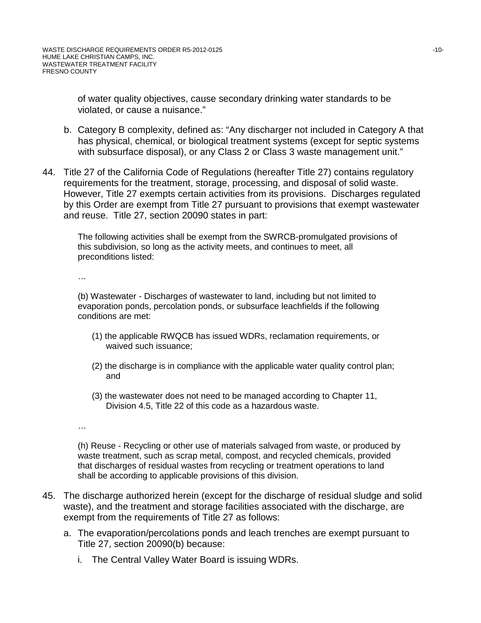of water quality objectives, cause secondary drinking water standards to be violated, or cause a nuisance."

- b. Category B complexity, defined as: "Any discharger not included in Category A that has physical, chemical, or biological treatment systems (except for septic systems with subsurface disposal), or any Class 2 or Class 3 waste management unit."
- 44. Title 27 of the California Code of Regulations (hereafter Title 27) contains regulatory requirements for the treatment, storage, processing, and disposal of solid waste. However, Title 27 exempts certain activities from its provisions. Discharges regulated by this Order are exempt from Title 27 pursuant to provisions that exempt wastewater and reuse. Title 27, section 20090 states in part:

The following activities shall be exempt from the SWRCB-promulgated provisions of this subdivision, so long as the activity meets, and continues to meet, all preconditions listed:

…

(b) Wastewater - Discharges of wastewater to land, including but not limited to evaporation ponds, percolation ponds, or subsurface leachfields if the following conditions are met:

- (1) the applicable RWQCB has issued WDRs, reclamation requirements, or waived such issuance;
- (2) the discharge is in compliance with the applicable water quality control plan; and
- (3) the wastewater does not need to be managed according to Chapter 11, Division 4.5, Title 22 of this code as a hazardous waste.

…

(h) Reuse - Recycling or other use of materials salvaged from waste, or produced by waste treatment, such as scrap metal, compost, and recycled chemicals, provided that discharges of residual wastes from recycling or treatment operations to land shall be according to applicable provisions of this division.

- 45. The discharge authorized herein (except for the discharge of residual sludge and solid waste), and the treatment and storage facilities associated with the discharge, are exempt from the requirements of Title 27 as follows:
	- a. The evaporation/percolations ponds and leach trenches are exempt pursuant to Title 27, section 20090(b) because:
		- i. The Central Valley Water Board is issuing WDRs.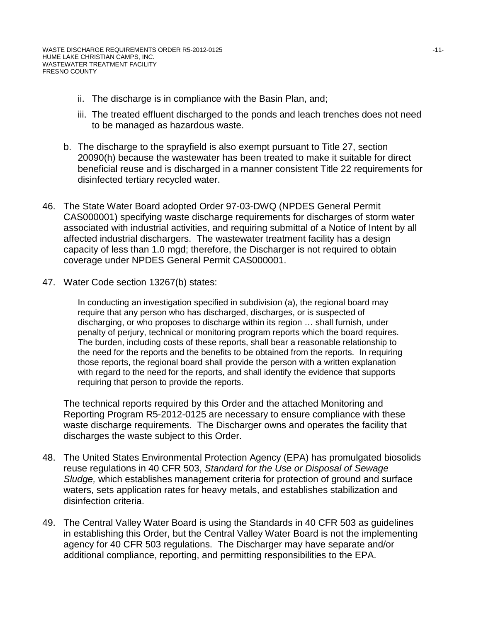- ii. The discharge is in compliance with the Basin Plan, and;
- iii. The treated effluent discharged to the ponds and leach trenches does not need to be managed as hazardous waste.
- b. The discharge to the sprayfield is also exempt pursuant to Title 27, section 20090(h) because the wastewater has been treated to make it suitable for direct beneficial reuse and is discharged in a manner consistent Title 22 requirements for disinfected tertiary recycled water.
- 46. The State Water Board adopted Order 97-03-DWQ (NPDES General Permit CAS000001) specifying waste discharge requirements for discharges of storm water associated with industrial activities, and requiring submittal of a Notice of Intent by all affected industrial dischargers. The wastewater treatment facility has a design capacity of less than 1.0 mgd; therefore, the Discharger is not required to obtain coverage under NPDES General Permit CAS000001.
- 47. Water Code section 13267(b) states:

In conducting an investigation specified in subdivision (a), the regional board may require that any person who has discharged, discharges, or is suspected of discharging, or who proposes to discharge within its region … shall furnish, under penalty of perjury, technical or monitoring program reports which the board requires. The burden, including costs of these reports, shall bear a reasonable relationship to the need for the reports and the benefits to be obtained from the reports. In requiring those reports, the regional board shall provide the person with a written explanation with regard to the need for the reports, and shall identify the evidence that supports requiring that person to provide the reports.

The technical reports required by this Order and the attached Monitoring and Reporting Program R5-2012-0125 are necessary to ensure compliance with these waste discharge requirements. The Discharger owns and operates the facility that discharges the waste subject to this Order.

- 48. The United States Environmental Protection Agency (EPA) has promulgated biosolids reuse regulations in 40 CFR 503, *Standard for the Use or Disposal of Sewage Sludge,* which establishes management criteria for protection of ground and surface waters, sets application rates for heavy metals, and establishes stabilization and disinfection criteria.
- 49. The Central Valley Water Board is using the Standards in 40 CFR 503 as guidelines in establishing this Order, but the Central Valley Water Board is not the implementing agency for 40 CFR 503 regulations. The Discharger may have separate and/or additional compliance, reporting, and permitting responsibilities to the EPA.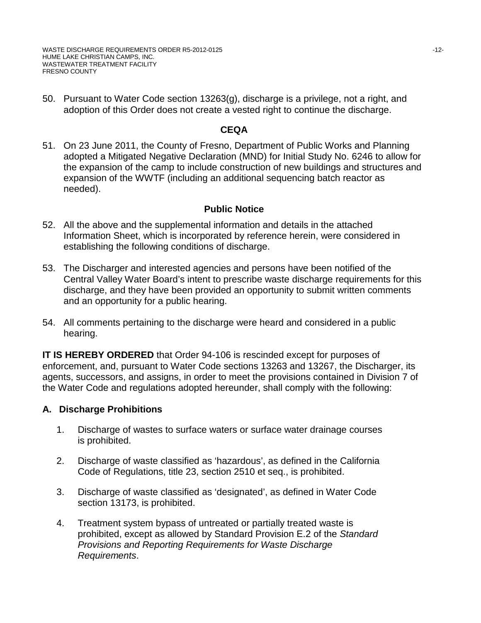WASTE DISCHARGE REQUIREMENTS ORDER R5-2012-0125 -12-HUME LAKE CHRISTIAN CAMPS, INC. WASTEWATER TREATMENT FACILITY FRESNO COUNTY

50. Pursuant to Water Code section 13263(g), discharge is a privilege, not a right, and adoption of this Order does not create a vested right to continue the discharge.

## **CEQA**

51. On 23 June 2011, the County of Fresno, Department of Public Works and Planning adopted a Mitigated Negative Declaration (MND) for Initial Study No. 6246 to allow for the expansion of the camp to include construction of new buildings and structures and expansion of the WWTF (including an additional sequencing batch reactor as needed).

## **Public Notice**

- 52. All the above and the supplemental information and details in the attached Information Sheet, which is incorporated by reference herein, were considered in establishing the following conditions of discharge.
- 53. The Discharger and interested agencies and persons have been notified of the Central Valley Water Board's intent to prescribe waste discharge requirements for this discharge, and they have been provided an opportunity to submit written comments and an opportunity for a public hearing.
- 54. All comments pertaining to the discharge were heard and considered in a public hearing.

**IT IS HEREBY ORDERED** that Order 94-106 is rescinded except for purposes of enforcement, and, pursuant to Water Code sections 13263 and 13267, the Discharger, its agents, successors, and assigns, in order to meet the provisions contained in Division 7 of the Water Code and regulations adopted hereunder, shall comply with the following:

# **A. Discharge Prohibitions**

- 1. Discharge of wastes to surface waters or surface water drainage courses is prohibited.
- 2. Discharge of waste classified as 'hazardous', as defined in the California Code of Regulations, title 23, section 2510 et seq., is prohibited.
- 3. Discharge of waste classified as 'designated', as defined in Water Code section 13173, is prohibited.
- 4. Treatment system bypass of untreated or partially treated waste is prohibited, except as allowed by Standard Provision E.2 of the *Standard Provisions and Reporting Requirements for Waste Discharge Requirements*.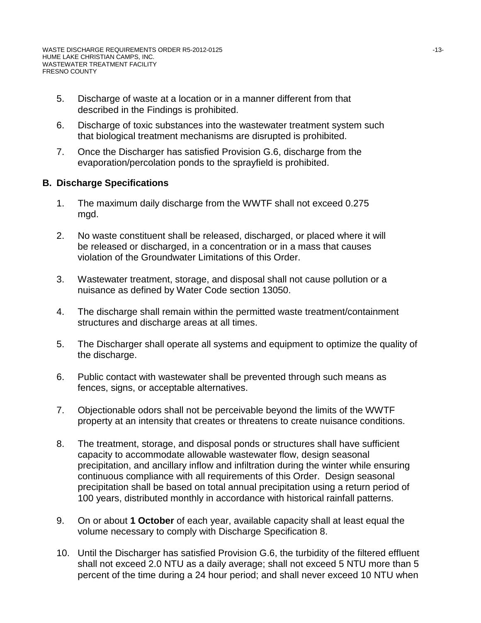- 5. Discharge of waste at a location or in a manner different from that described in the Findings is prohibited.
- 6. Discharge of toxic substances into the wastewater treatment system such that biological treatment mechanisms are disrupted is prohibited.
- 7. Once the Discharger has satisfied Provision G.6, discharge from the evaporation/percolation ponds to the sprayfield is prohibited.

# **B. Discharge Specifications**

- 1. The maximum daily discharge from the WWTF shall not exceed 0.275 mgd.
- 2. No waste constituent shall be released, discharged, or placed where it will be released or discharged, in a concentration or in a mass that causes violation of the Groundwater Limitations of this Order.
- 3. Wastewater treatment, storage, and disposal shall not cause pollution or a nuisance as defined by Water Code section 13050.
- 4. The discharge shall remain within the permitted waste treatment/containment structures and discharge areas at all times.
- 5. The Discharger shall operate all systems and equipment to optimize the quality of the discharge.
- 6. Public contact with wastewater shall be prevented through such means as fences, signs, or acceptable alternatives.
- 7. Objectionable odors shall not be perceivable beyond the limits of the WWTF property at an intensity that creates or threatens to create nuisance conditions.
- 8. The treatment, storage, and disposal ponds or structures shall have sufficient capacity to accommodate allowable wastewater flow, design seasonal precipitation, and ancillary inflow and infiltration during the winter while ensuring continuous compliance with all requirements of this Order. Design seasonal precipitation shall be based on total annual precipitation using a return period of 100 years, distributed monthly in accordance with historical rainfall patterns.
- 9. On or about **1 October** of each year, available capacity shall at least equal the volume necessary to comply with Discharge Specification 8.
- 10. Until the Discharger has satisfied Provision G.6, the turbidity of the filtered effluent shall not exceed 2.0 NTU as a daily average; shall not exceed 5 NTU more than 5 percent of the time during a 24 hour period; and shall never exceed 10 NTU when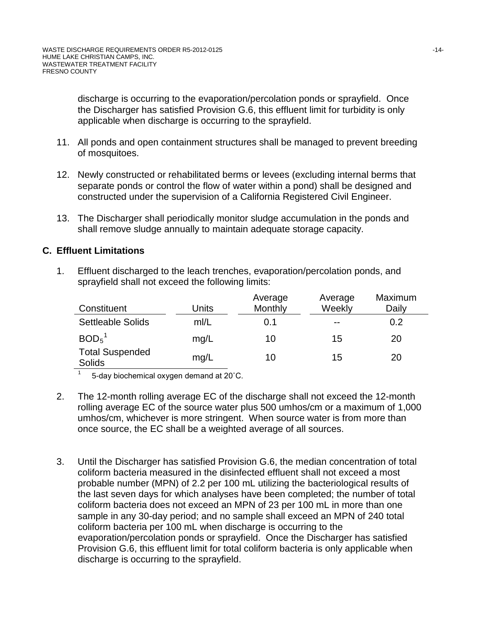discharge is occurring to the evaporation/percolation ponds or sprayfield. Once the Discharger has satisfied Provision G.6, this effluent limit for turbidity is only applicable when discharge is occurring to the sprayfield.

- 11. All ponds and open containment structures shall be managed to prevent breeding of mosquitoes.
- 12. Newly constructed or rehabilitated berms or levees (excluding internal berms that separate ponds or control the flow of water within a pond) shall be designed and constructed under the supervision of a California Registered Civil Engineer.
- 13. The Discharger shall periodically monitor sludge accumulation in the ponds and shall remove sludge annually to maintain adequate storage capacity.

# **C. Effluent Limitations**

1. Effluent discharged to the leach trenches, evaporation/percolation ponds, and sprayfield shall not exceed the following limits:

| Constituent                             | Units | Average<br>Monthly | Average<br>Weekly | Maximum<br>Daily |
|-----------------------------------------|-------|--------------------|-------------------|------------------|
| <b>Settleable Solids</b>                | m/L   | 0.1                | $- -$             | 0.2              |
| BOD <sub>5</sub> <sup>1</sup>           | mg/L  | 10                 | 15                | 20               |
| <b>Total Suspended</b><br><b>Solids</b> | mq/L  | 10                 | 15                | 20               |

 $1 - 5$ -day biochemical oxygen demand at 20 $^{\circ}$ C.

- 2. The 12-month rolling average EC of the discharge shall not exceed the 12-month rolling average EC of the source water plus 500 umhos/cm or a maximum of 1,000 umhos/cm, whichever is more stringent. When source water is from more than once source, the EC shall be a weighted average of all sources.
- 3. Until the Discharger has satisfied Provision G.6, the median concentration of total coliform bacteria measured in the disinfected effluent shall not exceed a most probable number (MPN) of 2.2 per 100 mL utilizing the bacteriological results of the last seven days for which analyses have been completed; the number of total coliform bacteria does not exceed an MPN of 23 per 100 mL in more than one sample in any 30-day period; and no sample shall exceed an MPN of 240 total coliform bacteria per 100 mL when discharge is occurring to the evaporation/percolation ponds or sprayfield. Once the Discharger has satisfied Provision G.6, this effluent limit for total coliform bacteria is only applicable when discharge is occurring to the sprayfield.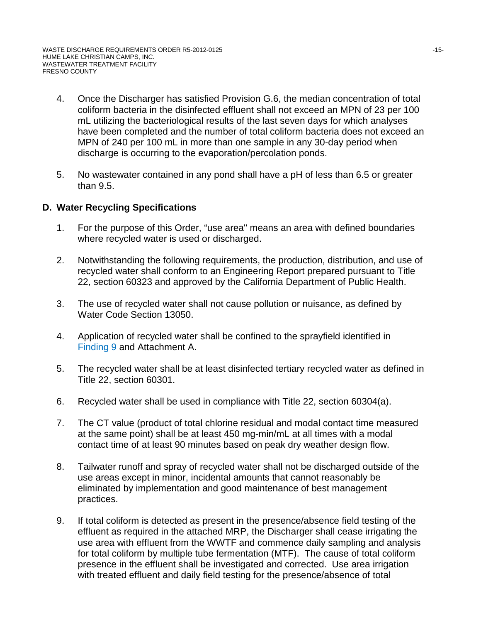- 4. Once the Discharger has satisfied Provision G.6, the median concentration of total coliform bacteria in the disinfected effluent shall not exceed an MPN of 23 per 100 mL utilizing the bacteriological results of the last seven days for which analyses have been completed and the number of total coliform bacteria does not exceed an MPN of 240 per 100 mL in more than one sample in any 30-day period when discharge is occurring to the evaporation/percolation ponds.
- 5. No wastewater contained in any pond shall have a pH of less than 6.5 or greater than 9.5.

## **D. Water Recycling Specifications**

- 1. For the purpose of this Order, "use area" means an area with defined boundaries where recycled water is used or discharged.
- 2. Notwithstanding the following requirements, the production, distribution, and use of recycled water shall conform to an Engineering Report prepared pursuant to Title 22, section 60323 and approved by the California Department of Public Health.
- 3. The use of recycled water shall not cause pollution or nuisance, as defined by Water Code Section 13050.
- 4. Application of recycled water shall be confined to the sprayfield identified in Finding 9 and Attachment A.
- 5. The recycled water shall be at least disinfected tertiary recycled water as defined in Title 22, section 60301.
- 6. Recycled water shall be used in compliance with Title 22, section 60304(a).
- 7. The CT value (product of total chlorine residual and modal contact time measured at the same point) shall be at least 450 mg-min/mL at all times with a modal contact time of at least 90 minutes based on peak dry weather design flow.
- 8. Tailwater runoff and spray of recycled water shall not be discharged outside of the use areas except in minor, incidental amounts that cannot reasonably be eliminated by implementation and good maintenance of best management practices.
- 9. If total coliform is detected as present in the presence/absence field testing of the effluent as required in the attached MRP, the Discharger shall cease irrigating the use area with effluent from the WWTF and commence daily sampling and analysis for total coliform by multiple tube fermentation (MTF). The cause of total coliform presence in the effluent shall be investigated and corrected. Use area irrigation with treated effluent and daily field testing for the presence/absence of total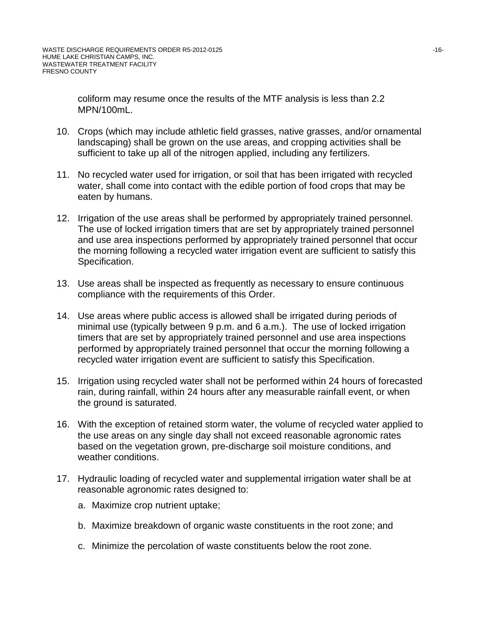coliform may resume once the results of the MTF analysis is less than 2.2 MPN/100mL.

- 10. Crops (which may include athletic field grasses, native grasses, and/or ornamental landscaping) shall be grown on the use areas, and cropping activities shall be sufficient to take up all of the nitrogen applied, including any fertilizers.
- 11. No recycled water used for irrigation, or soil that has been irrigated with recycled water, shall come into contact with the edible portion of food crops that may be eaten by humans.
- 12. Irrigation of the use areas shall be performed by appropriately trained personnel. The use of locked irrigation timers that are set by appropriately trained personnel and use area inspections performed by appropriately trained personnel that occur the morning following a recycled water irrigation event are sufficient to satisfy this Specification.
- 13. Use areas shall be inspected as frequently as necessary to ensure continuous compliance with the requirements of this Order.
- 14. Use areas where public access is allowed shall be irrigated during periods of minimal use (typically between 9 p.m. and 6 a.m.). The use of locked irrigation timers that are set by appropriately trained personnel and use area inspections performed by appropriately trained personnel that occur the morning following a recycled water irrigation event are sufficient to satisfy this Specification.
- 15. Irrigation using recycled water shall not be performed within 24 hours of forecasted rain, during rainfall, within 24 hours after any measurable rainfall event, or when the ground is saturated.
- 16. With the exception of retained storm water, the volume of recycled water applied to the use areas on any single day shall not exceed reasonable agronomic rates based on the vegetation grown, pre-discharge soil moisture conditions, and weather conditions.
- 17. Hydraulic loading of recycled water and supplemental irrigation water shall be at reasonable agronomic rates designed to:
	- a. Maximize crop nutrient uptake;
	- b. Maximize breakdown of organic waste constituents in the root zone; and
	- c. Minimize the percolation of waste constituents below the root zone.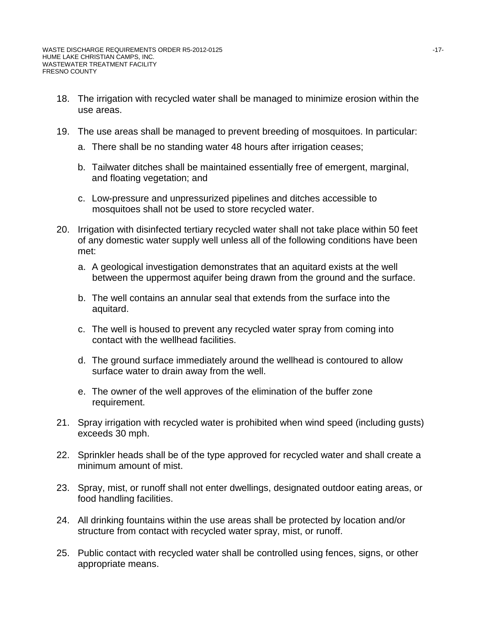- 18. The irrigation with recycled water shall be managed to minimize erosion within the use areas.
- 19. The use areas shall be managed to prevent breeding of mosquitoes. In particular:
	- a. There shall be no standing water 48 hours after irrigation ceases;
	- b. Tailwater ditches shall be maintained essentially free of emergent, marginal, and floating vegetation; and
	- c. Low-pressure and unpressurized pipelines and ditches accessible to mosquitoes shall not be used to store recycled water.
- 20. Irrigation with disinfected tertiary recycled water shall not take place within 50 feet of any domestic water supply well unless all of the following conditions have been met:
	- a. A geological investigation demonstrates that an aquitard exists at the well between the uppermost aquifer being drawn from the ground and the surface.
	- b. The well contains an annular seal that extends from the surface into the aquitard.
	- c. The well is housed to prevent any recycled water spray from coming into contact with the wellhead facilities.
	- d. The ground surface immediately around the wellhead is contoured to allow surface water to drain away from the well.
	- e. The owner of the well approves of the elimination of the buffer zone requirement.
- 21. Spray irrigation with recycled water is prohibited when wind speed (including gusts) exceeds 30 mph.
- 22. Sprinkler heads shall be of the type approved for recycled water and shall create a minimum amount of mist.
- 23. Spray, mist, or runoff shall not enter dwellings, designated outdoor eating areas, or food handling facilities.
- 24. All drinking fountains within the use areas shall be protected by location and/or structure from contact with recycled water spray, mist, or runoff.
- 25. Public contact with recycled water shall be controlled using fences, signs, or other appropriate means.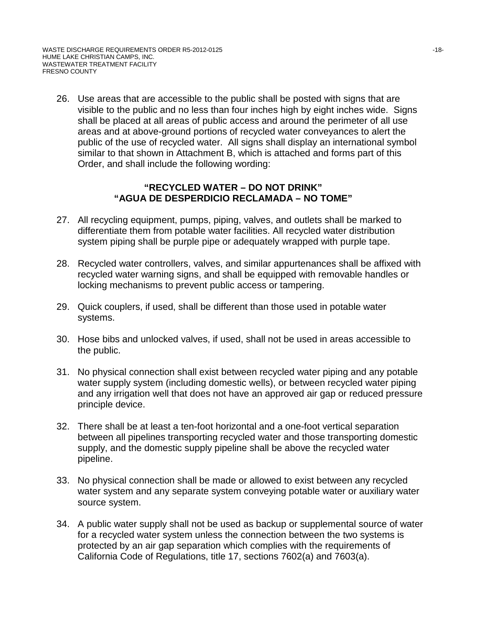26. Use areas that are accessible to the public shall be posted with signs that are visible to the public and no less than four inches high by eight inches wide. Signs shall be placed at all areas of public access and around the perimeter of all use areas and at above-ground portions of recycled water conveyances to alert the public of the use of recycled water. All signs shall display an international symbol similar to that shown in Attachment B, which is attached and forms part of this Order, and shall include the following wording:

# **"RECYCLED WATER – DO NOT DRINK" "AGUA DE DESPERDICIO RECLAMADA – NO TOME"**

- 27. All recycling equipment, pumps, piping, valves, and outlets shall be marked to differentiate them from potable water facilities. All recycled water distribution system piping shall be purple pipe or adequately wrapped with purple tape.
- 28. Recycled water controllers, valves, and similar appurtenances shall be affixed with recycled water warning signs, and shall be equipped with removable handles or locking mechanisms to prevent public access or tampering.
- 29. Quick couplers, if used, shall be different than those used in potable water systems.
- 30. Hose bibs and unlocked valves, if used, shall not be used in areas accessible to the public.
- 31. No physical connection shall exist between recycled water piping and any potable water supply system (including domestic wells), or between recycled water piping and any irrigation well that does not have an approved air gap or reduced pressure principle device.
- 32. There shall be at least a ten-foot horizontal and a one-foot vertical separation between all pipelines transporting recycled water and those transporting domestic supply, and the domestic supply pipeline shall be above the recycled water pipeline.
- 33. No physical connection shall be made or allowed to exist between any recycled water system and any separate system conveying potable water or auxiliary water source system.
- 34. A public water supply shall not be used as backup or supplemental source of water for a recycled water system unless the connection between the two systems is protected by an air gap separation which complies with the requirements of California Code of Regulations, title 17, sections 7602(a) and 7603(a).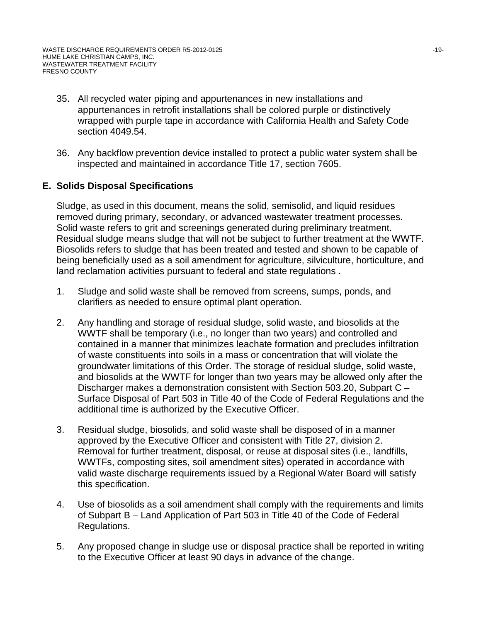- 35. All recycled water piping and appurtenances in new installations and appurtenances in retrofit installations shall be colored purple or distinctively wrapped with purple tape in accordance with California Health and Safety Code section 4049.54.
- 36. Any backflow prevention device installed to protect a public water system shall be inspected and maintained in accordance Title 17, section 7605.

# **E. Solids Disposal Specifications**

Sludge, as used in this document, means the solid, semisolid, and liquid residues removed during primary, secondary, or advanced wastewater treatment processes. Solid waste refers to grit and screenings generated during preliminary treatment. Residual sludge means sludge that will not be subject to further treatment at the WWTF. Biosolids refers to sludge that has been treated and tested and shown to be capable of being beneficially used as a soil amendment for agriculture, silviculture, horticulture, and land reclamation activities pursuant to federal and state regulations .

- 1. Sludge and solid waste shall be removed from screens, sumps, ponds, and clarifiers as needed to ensure optimal plant operation.
- 2. Any handling and storage of residual sludge, solid waste, and biosolids at the WWTF shall be temporary (i.e., no longer than two years) and controlled and contained in a manner that minimizes leachate formation and precludes infiltration of waste constituents into soils in a mass or concentration that will violate the groundwater limitations of this Order. The storage of residual sludge, solid waste, and biosolids at the WWTF for longer than two years may be allowed only after the Discharger makes a demonstration consistent with Section 503.20, Subpart C – Surface Disposal of Part 503 in Title 40 of the Code of Federal Regulations and the additional time is authorized by the Executive Officer.
- 3. Residual sludge, biosolids, and solid waste shall be disposed of in a manner approved by the Executive Officer and consistent with Title 27, division 2. Removal for further treatment, disposal, or reuse at disposal sites (i.e., landfills, WWTFs, composting sites, soil amendment sites) operated in accordance with valid waste discharge requirements issued by a Regional Water Board will satisfy this specification.
- 4. Use of biosolids as a soil amendment shall comply with the requirements and limits of Subpart B – Land Application of Part 503 in Title 40 of the Code of Federal Regulations.
- 5. Any proposed change in sludge use or disposal practice shall be reported in writing to the Executive Officer at least 90 days in advance of the change.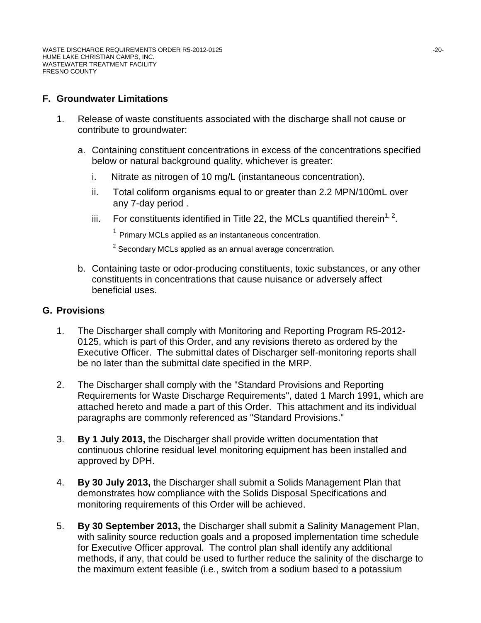# **F. Groundwater Limitations**

- 1. Release of waste constituents associated with the discharge shall not cause or contribute to groundwater:
	- a. Containing constituent concentrations in excess of the concentrations specified below or natural background quality, whichever is greater:
		- i. Nitrate as nitrogen of 10 mg/L (instantaneous concentration).
		- ii. Total coliform organisms equal to or greater than 2.2 MPN/100mL over any 7-day period .
		- iii. For constituents identified in Title 22, the MCLs quantified therein<sup>1, 2</sup>.

 $1$  Primary MCLs applied as an instantaneous concentration.

 $2$  Secondary MCLs applied as an annual average concentration.

b. Containing taste or odor-producing constituents, toxic substances, or any other constituents in concentrations that cause nuisance or adversely affect beneficial uses.

#### **G. Provisions**

- 1. The Discharger shall comply with Monitoring and Reporting Program R5-2012- 0125, which is part of this Order, and any revisions thereto as ordered by the Executive Officer. The submittal dates of Discharger self-monitoring reports shall be no later than the submittal date specified in the MRP.
- 2. The Discharger shall comply with the "Standard Provisions and Reporting Requirements for Waste Discharge Requirements", dated 1 March 1991, which are attached hereto and made a part of this Order. This attachment and its individual paragraphs are commonly referenced as "Standard Provisions."
- 3. **By 1 July 2013,** the Discharger shall provide written documentation that continuous chlorine residual level monitoring equipment has been installed and approved by DPH.
- 4. **By 30 July 2013,** the Discharger shall submit a Solids Management Plan that demonstrates how compliance with the Solids Disposal Specifications and monitoring requirements of this Order will be achieved.
- 5. **By 30 September 2013,** the Discharger shall submit a Salinity Management Plan, with salinity source reduction goals and a proposed implementation time schedule for Executive Officer approval. The control plan shall identify any additional methods, if any, that could be used to further reduce the salinity of the discharge to the maximum extent feasible (i.e., switch from a sodium based to a potassium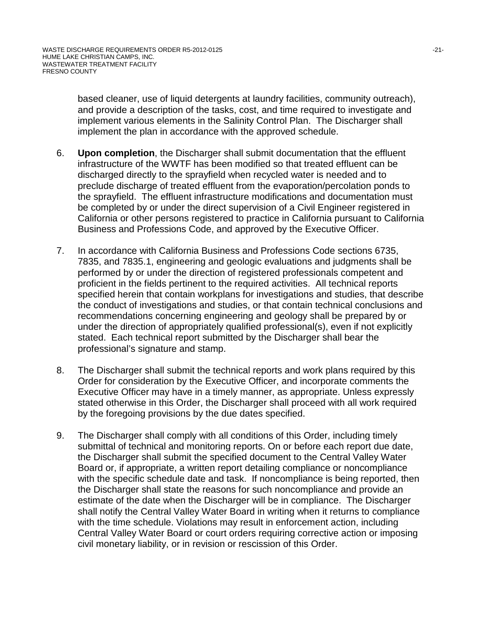based cleaner, use of liquid detergents at laundry facilities, community outreach), and provide a description of the tasks, cost, and time required to investigate and implement various elements in the Salinity Control Plan. The Discharger shall implement the plan in accordance with the approved schedule.

- 6. **Upon completion**, the Discharger shall submit documentation that the effluent infrastructure of the WWTF has been modified so that treated effluent can be discharged directly to the sprayfield when recycled water is needed and to preclude discharge of treated effluent from the evaporation/percolation ponds to the sprayfield. The effluent infrastructure modifications and documentation must be completed by or under the direct supervision of a Civil Engineer registered in California or other persons registered to practice in California pursuant to California Business and Professions Code, and approved by the Executive Officer.
- 7. In accordance with California Business and Professions Code sections 6735, 7835, and 7835.1, engineering and geologic evaluations and judgments shall be performed by or under the direction of registered professionals competent and proficient in the fields pertinent to the required activities. All technical reports specified herein that contain workplans for investigations and studies, that describe the conduct of investigations and studies, or that contain technical conclusions and recommendations concerning engineering and geology shall be prepared by or under the direction of appropriately qualified professional(s), even if not explicitly stated. Each technical report submitted by the Discharger shall bear the professional's signature and stamp.
- 8. The Discharger shall submit the technical reports and work plans required by this Order for consideration by the Executive Officer, and incorporate comments the Executive Officer may have in a timely manner, as appropriate. Unless expressly stated otherwise in this Order, the Discharger shall proceed with all work required by the foregoing provisions by the due dates specified.
- 9. The Discharger shall comply with all conditions of this Order, including timely submittal of technical and monitoring reports. On or before each report due date, the Discharger shall submit the specified document to the Central Valley Water Board or, if appropriate, a written report detailing compliance or noncompliance with the specific schedule date and task. If noncompliance is being reported, then the Discharger shall state the reasons for such noncompliance and provide an estimate of the date when the Discharger will be in compliance. The Discharger shall notify the Central Valley Water Board in writing when it returns to compliance with the time schedule. Violations may result in enforcement action, including Central Valley Water Board or court orders requiring corrective action or imposing civil monetary liability, or in revision or rescission of this Order.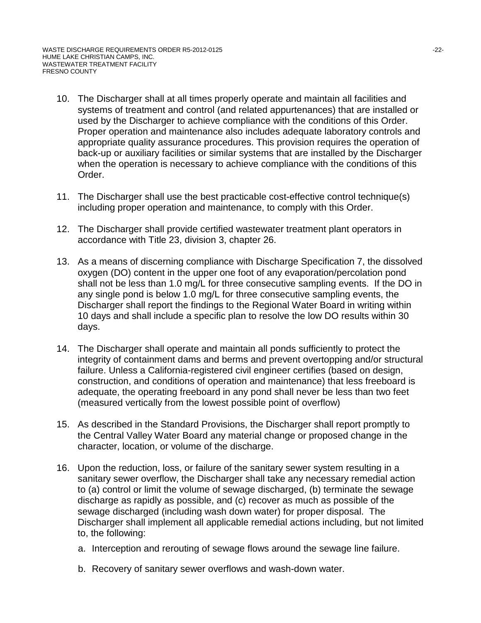- 10. The Discharger shall at all times properly operate and maintain all facilities and systems of treatment and control (and related appurtenances) that are installed or used by the Discharger to achieve compliance with the conditions of this Order. Proper operation and maintenance also includes adequate laboratory controls and appropriate quality assurance procedures. This provision requires the operation of back-up or auxiliary facilities or similar systems that are installed by the Discharger when the operation is necessary to achieve compliance with the conditions of this Order.
- 11. The Discharger shall use the best practicable cost-effective control technique(s) including proper operation and maintenance, to comply with this Order.
- 12. The Discharger shall provide certified wastewater treatment plant operators in accordance with Title 23, division 3, chapter 26.
- 13. As a means of discerning compliance with Discharge Specification 7, the dissolved oxygen (DO) content in the upper one foot of any evaporation/percolation pond shall not be less than 1.0 mg/L for three consecutive sampling events. If the DO in any single pond is below 1.0 mg/L for three consecutive sampling events, the Discharger shall report the findings to the Regional Water Board in writing within 10 days and shall include a specific plan to resolve the low DO results within 30 days.
- 14. The Discharger shall operate and maintain all ponds sufficiently to protect the integrity of containment dams and berms and prevent overtopping and/or structural failure. Unless a California-registered civil engineer certifies (based on design, construction, and conditions of operation and maintenance) that less freeboard is adequate, the operating freeboard in any pond shall never be less than two feet (measured vertically from the lowest possible point of overflow)
- 15. As described in the Standard Provisions, the Discharger shall report promptly to the Central Valley Water Board any material change or proposed change in the character, location, or volume of the discharge.
- 16. Upon the reduction, loss, or failure of the sanitary sewer system resulting in a sanitary sewer overflow, the Discharger shall take any necessary remedial action to (a) control or limit the volume of sewage discharged, (b) terminate the sewage discharge as rapidly as possible, and (c) recover as much as possible of the sewage discharged (including wash down water) for proper disposal. The Discharger shall implement all applicable remedial actions including, but not limited to, the following:
	- a. Interception and rerouting of sewage flows around the sewage line failure.
	- b. Recovery of sanitary sewer overflows and wash-down water.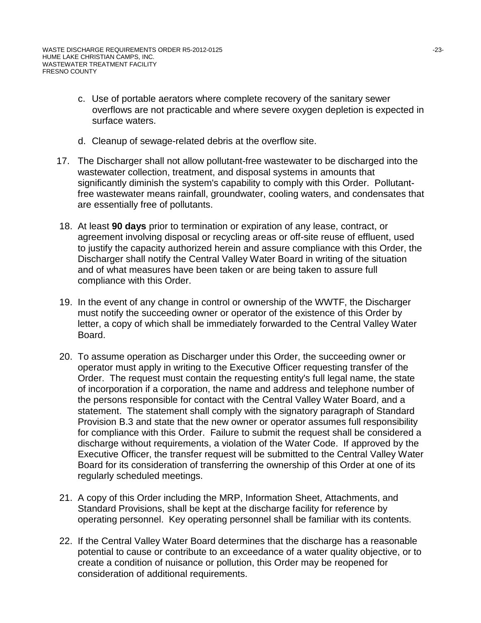- c. Use of portable aerators where complete recovery of the sanitary sewer overflows are not practicable and where severe oxygen depletion is expected in surface waters.
- d. Cleanup of sewage-related debris at the overflow site.
- 17. The Discharger shall not allow pollutant-free wastewater to be discharged into the wastewater collection, treatment, and disposal systems in amounts that significantly diminish the system's capability to comply with this Order. Pollutantfree wastewater means rainfall, groundwater, cooling waters, and condensates that are essentially free of pollutants.
- 18. At least **90 days** prior to termination or expiration of any lease, contract, or agreement involving disposal or recycling areas or off-site reuse of effluent, used to justify the capacity authorized herein and assure compliance with this Order, the Discharger shall notify the Central Valley Water Board in writing of the situation and of what measures have been taken or are being taken to assure full compliance with this Order.
- 19. In the event of any change in control or ownership of the WWTF, the Discharger must notify the succeeding owner or operator of the existence of this Order by letter, a copy of which shall be immediately forwarded to the Central Valley Water Board.
- 20. To assume operation as Discharger under this Order, the succeeding owner or operator must apply in writing to the Executive Officer requesting transfer of the Order. The request must contain the requesting entity's full legal name, the state of incorporation if a corporation, the name and address and telephone number of the persons responsible for contact with the Central Valley Water Board, and a statement. The statement shall comply with the signatory paragraph of Standard Provision B.3 and state that the new owner or operator assumes full responsibility for compliance with this Order. Failure to submit the request shall be considered a discharge without requirements, a violation of the Water Code. If approved by the Executive Officer, the transfer request will be submitted to the Central Valley Water Board for its consideration of transferring the ownership of this Order at one of its regularly scheduled meetings.
- 21. A copy of this Order including the MRP, Information Sheet, Attachments, and Standard Provisions, shall be kept at the discharge facility for reference by operating personnel. Key operating personnel shall be familiar with its contents.
- 22. If the Central Valley Water Board determines that the discharge has a reasonable potential to cause or contribute to an exceedance of a water quality objective, or to create a condition of nuisance or pollution, this Order may be reopened for consideration of additional requirements.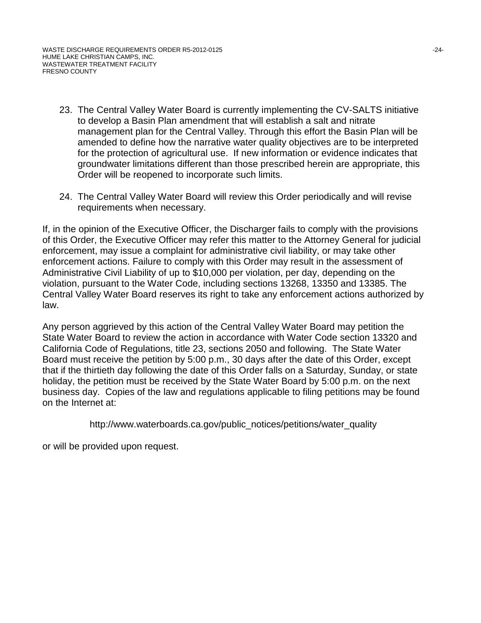- 23. The Central Valley Water Board is currently implementing the CV-SALTS initiative to develop a Basin Plan amendment that will establish a salt and nitrate management plan for the Central Valley. Through this effort the Basin Plan will be amended to define how the narrative water quality objectives are to be interpreted for the protection of agricultural use. If new information or evidence indicates that groundwater limitations different than those prescribed herein are appropriate, this Order will be reopened to incorporate such limits.
- 24. The Central Valley Water Board will review this Order periodically and will revise requirements when necessary.

If, in the opinion of the Executive Officer, the Discharger fails to comply with the provisions of this Order, the Executive Officer may refer this matter to the Attorney General for judicial enforcement, may issue a complaint for administrative civil liability, or may take other enforcement actions. Failure to comply with this Order may result in the assessment of Administrative Civil Liability of up to \$10,000 per violation, per day, depending on the violation, pursuant to the Water Code, including sections 13268, 13350 and 13385. The Central Valley Water Board reserves its right to take any enforcement actions authorized by law.

Any person aggrieved by this action of the Central Valley Water Board may petition the State Water Board to review the action in accordance with Water Code section 13320 and California Code of Regulations, title 23, sections 2050 and following. The State Water Board must receive the petition by 5:00 p.m., 30 days after the date of this Order, except that if the thirtieth day following the date of this Order falls on a Saturday, Sunday, or state holiday, the petition must be received by the State Water Board by 5:00 p.m. on the next business day. Copies of the law and regulations applicable to filing petitions may be found on the Internet at:

http://www.waterboards.ca.gov/public\_notices/petitions/water\_quality

or will be provided upon request.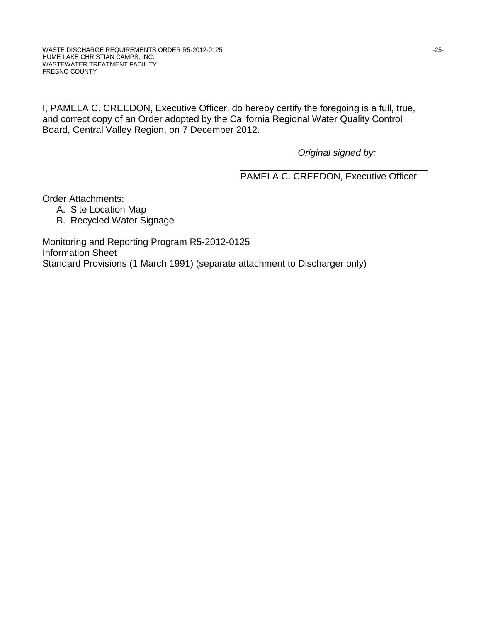I, PAMELA C. CREEDON, Executive Officer, do hereby certify the foregoing is a full, true, and correct copy of an Order adopted by the California Regional Water Quality Control Board, Central Valley Region, on 7 December 2012.

*Original signed by:*

PAMELA C. CREEDON, Executive Officer

Order Attachments:

- A. Site Location Map
- B. Recycled Water Signage

Monitoring and Reporting Program R5-2012-0125 Information Sheet Standard Provisions (1 March 1991) (separate attachment to Discharger only)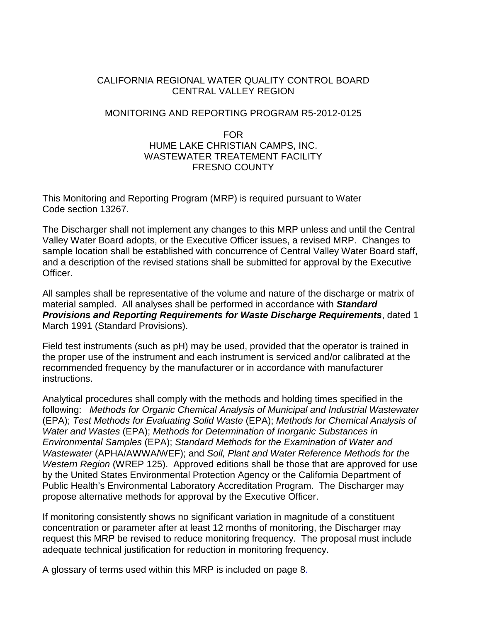## CALIFORNIA REGIONAL WATER QUALITY CONTROL BOARD CENTRAL VALLEY REGION

#### MONITORING AND REPORTING PROGRAM R5-2012-0125

## FOR HUME LAKE CHRISTIAN CAMPS, INC. WASTEWATER TREATEMENT FACILITY FRESNO COUNTY

This Monitoring and Reporting Program (MRP) is required pursuant to Water Code section 13267.

The Discharger shall not implement any changes to this MRP unless and until the Central Valley Water Board adopts, or the Executive Officer issues, a revised MRP. Changes to sample location shall be established with concurrence of Central Valley Water Board staff, and a description of the revised stations shall be submitted for approval by the Executive Officer.

All samples shall be representative of the volume and nature of the discharge or matrix of material sampled. All analyses shall be performed in accordance with *Standard Provisions and Reporting Requirements for Waste Discharge Requirements*, dated 1 March 1991 (Standard Provisions).

Field test instruments (such as pH) may be used, provided that the operator is trained in the proper use of the instrument and each instrument is serviced and/or calibrated at the recommended frequency by the manufacturer or in accordance with manufacturer instructions.

Analytical procedures shall comply with the methods and holding times specified in the following: *Methods for Organic Chemical Analysis of Municipal and Industrial Wastewater* (EPA); *Test Methods for Evaluating Solid Waste* (EPA); *Methods for Chemical Analysis of Water and Wastes* (EPA); *Methods for Determination of Inorganic Substances in Environmental Samples* (EPA); *Standard Methods for the Examination of Water and Wastewater* (APHA/AWWA/WEF); and *Soil, Plant and Water Reference Methods for the Western Region* (WREP 125). Approved editions shall be those that are approved for use by the United States Environmental Protection Agency or the California Department of Public Health's Environmental Laboratory Accreditation Program. The Discharger may propose alternative methods for approval by the Executive Officer.

If monitoring consistently shows no significant variation in magnitude of a constituent concentration or parameter after at least 12 months of monitoring, the Discharger may request this MRP be revised to reduce monitoring frequency. The proposal must include adequate technical justification for reduction in monitoring frequency.

A glossary of terms used within this MRP is included on page 8.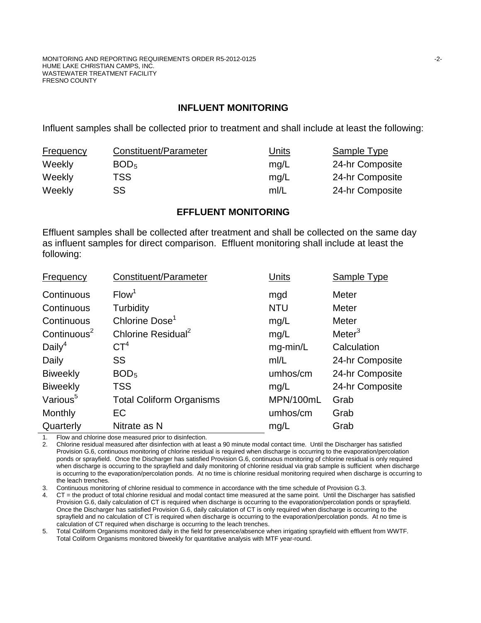#### **INFLUENT MONITORING**

Influent samples shall be collected prior to treatment and shall include at least the following:

| <b>Frequency</b> | Constituent/Parameter | <u>Units</u> | Sample Type     |
|------------------|-----------------------|--------------|-----------------|
| Weekly           | BOD <sub>5</sub>      | mq/L         | 24-hr Composite |
| Weekly           | TSS.                  | mg/L         | 24-hr Composite |
| Weekly           | <b>SS</b>             | m/L          | 24-hr Composite |

#### **EFFLUENT MONITORING**

Effluent samples shall be collected after treatment and shall be collected on the same day as influent samples for direct comparison. Effluent monitoring shall include at least the following:

| Frequency            | Constituent/Parameter           | Units      | Sample Type        |
|----------------------|---------------------------------|------------|--------------------|
| Continuous           | Flow <sup>1</sup>               | mgd        | Meter              |
| Continuous           | <b>Turbidity</b>                | <b>NTU</b> | <b>Meter</b>       |
| Continuous           | Chlorine Dose <sup>1</sup>      | mg/L       | Meter              |
| Continuous $2$       | Chlorine Residual <sup>2</sup>  | mg/L       | Meter <sup>3</sup> |
| Daily <sup>4</sup>   | $\mathsf{CT}^4$                 | mg-min/L   | Calculation        |
| Daily                | <b>SS</b>                       | mI/L       | 24-hr Composite    |
| <b>Biweekly</b>      | BOD <sub>5</sub>                | umhos/cm   | 24-hr Composite    |
| <b>Biweekly</b>      | <b>TSS</b>                      | mg/L       | 24-hr Composite    |
| Various <sup>5</sup> | <b>Total Coliform Organisms</b> | MPN/100mL  | Grab               |
| Monthly              | EC                              | umhos/cm   | Grab               |
| Quarterly            | Nitrate as N                    | mg/L       | Grab               |
|                      |                                 |            |                    |

1. Flow and chlorine dose measured prior to disinfection.<br>2. Chlorine residual measured after disinfection with at lea

2. Chlorine residual measured after disinfection with at least a 90 minute modal contact time. Until the Discharger has satisfied Provision G.6, continuous monitoring of chlorine residual is required when discharge is occurring to the evaporation/percolation ponds or sprayfield. Once the Discharger has satisfied Provision G.6, continuous monitoring of chlorine residual is only required when discharge is occurring to the sprayfield and daily monitoring of chlorine residual via grab sample is sufficient when discharge is occurring to the evaporation/percolation ponds. At no time is chlorine residual monitoring required when discharge is occurring to the leach trenches.

3. Continuous monitoring of chlorine residual to commence in accordance with the time schedule of Provision G.3.

4. CT = the product of total chlorine residual and modal contact time measured at the same point. Until the Discharger has satisfied Provision G.6, daily calculation of CT is required when discharge is occurring to the evaporation/percolation ponds or sprayfield. Once the Discharger has satisfied Provision G.6, daily calculation of CT is only required when discharge is occurring to the sprayfield and no calculation of CT is required when discharge is occurring to the evaporation/percolation ponds. At no time is calculation of CT required when discharge is occurring to the leach trenches.

5. Total Coliform Organisms monitored daily in the field for presence/absence when irrigating sprayfield with effluent from WWTF. Total Coliform Organisms monitored biweekly for quantitative analysis with MTF year-round.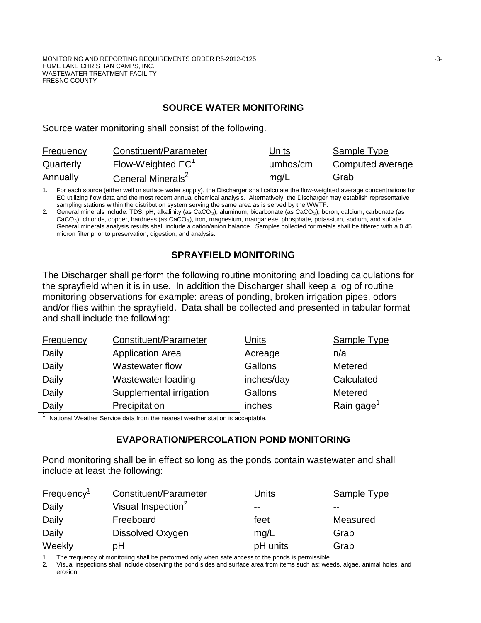#### **SOURCE WATER MONITORING**

Source water monitoring shall consist of the following.

| <b>Frequency</b> | Constituent/Parameter         | <u>Units</u> | Sample Type      |
|------------------|-------------------------------|--------------|------------------|
| Quarterly        | Flow-Weighted $EC^1$          | umhos/cm     | Computed average |
| Annually         | General Minerals <sup>2</sup> | mq/L         | Grab             |

1. For each source (either well or surface water supply), the Discharger shall calculate the flow-weighted average concentrations for EC utilizing flow data and the most recent annual chemical analysis. Alternatively, the Discharger may establish representative sampling stations within the distribution system serving the same area as is served by the WWTF.

2. General minerals include: TDS, pH, alkalinity (as  $CaCO<sub>3</sub>$ ), aluminum, bicarbonate (as  $CaCO<sub>3</sub>$ ), boron, calcium, carbonate (as CaCO<sub>3</sub>), chloride, copper, hardness (as CaCO<sub>3</sub>), iron, magnesium, manganese, phosphate, potassium, sodium, and sulfate. General minerals analysis results shall include a cation/anion balance. Samples collected for metals shall be filtered with a 0.45 micron filter prior to preservation, digestion, and analysis.

## **SPRAYFIELD MONITORING**

The Discharger shall perform the following routine monitoring and loading calculations for the sprayfield when it is in use. In addition the Discharger shall keep a log of routine monitoring observations for example: areas of ponding, broken irrigation pipes, odors and/or flies within the sprayfield. Data shall be collected and presented in tabular format and shall include the following:

| <b>Frequency</b> | Constituent/Parameter   | Units      | <b>Sample Type</b>     |
|------------------|-------------------------|------------|------------------------|
| Daily            | <b>Application Area</b> | Acreage    | n/a                    |
| Daily            | Wastewater flow         | Gallons    | Metered                |
| Daily            | Wastewater loading      | inches/day | Calculated             |
| Daily            | Supplemental irrigation | Gallons    | Metered                |
| Daily            | Precipitation           | inches     | Rain gage <sup>1</sup> |

National Weather Service data from the nearest weather station is acceptable.

#### **EVAPORATION/PERCOLATION POND MONITORING**

Pond monitoring shall be in effect so long as the ponds contain wastewater and shall include at least the following:

| Frequency $1$ | Constituent/Parameter          | Units    | Sample Type |
|---------------|--------------------------------|----------|-------------|
| Daily         | Visual Inspection <sup>2</sup> | $- -$    | $- -$       |
| Daily         | Freeboard                      | feet     | Measured    |
| Daily         | Dissolved Oxygen               | mq/L     | Grab        |
| Weekly        | pH                             | pH units | Grab        |

1. The frequency of monitoring shall be performed only when safe access to the ponds is permissible.

2. Visual inspections shall include observing the pond sides and surface area from items such as: weeds, algae, animal holes, and erosion.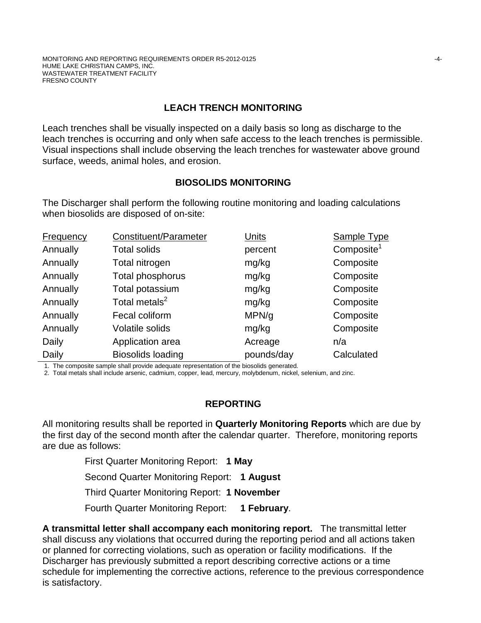# **LEACH TRENCH MONITORING**

Leach trenches shall be visually inspected on a daily basis so long as discharge to the leach trenches is occurring and only when safe access to the leach trenches is permissible. Visual inspections shall include observing the leach trenches for wastewater above ground surface, weeds, animal holes, and erosion.

## **BIOSOLIDS MONITORING**

The Discharger shall perform the following routine monitoring and loading calculations when biosolids are disposed of on-site:

| <b>Frequency</b> | Constituent/Parameter     | Units      | <b>Sample Type</b>     |
|------------------|---------------------------|------------|------------------------|
| Annually         | <b>Total solids</b>       | percent    | Composite <sup>1</sup> |
| Annually         | Total nitrogen            | mg/kg      | Composite              |
| Annually         | Total phosphorus          | mg/kg      | Composite              |
| Annually         | Total potassium           | mg/kg      | Composite              |
| Annually         | Total metals <sup>2</sup> | mg/kg      | Composite              |
| Annually         | Fecal coliform            | MPN/g      | Composite              |
| Annually         | Volatile solids           | mg/kg      | Composite              |
| Daily            | Application area          | Acreage    | n/a                    |
| Daily            | <b>Biosolids loading</b>  | pounds/day | Calculated             |

1. The composite sample shall provide adequate representation of the biosolids generated.

2. Total metals shall include arsenic, cadmium, copper, lead, mercury, molybdenum, nickel, selenium, and zinc.

## **REPORTING**

All monitoring results shall be reported in **Quarterly Monitoring Reports** which are due by the first day of the second month after the calendar quarter. Therefore, monitoring reports are due as follows:

First Quarter Monitoring Report: **1 May**

Second Quarter Monitoring Report: **1 August**

Third Quarter Monitoring Report: **1 November**

Fourth Quarter Monitoring Report: **1 February**.

**A transmittal letter shall accompany each monitoring report.** The transmittal letter shall discuss any violations that occurred during the reporting period and all actions taken or planned for correcting violations, such as operation or facility modifications. If the Discharger has previously submitted a report describing corrective actions or a time schedule for implementing the corrective actions, reference to the previous correspondence is satisfactory.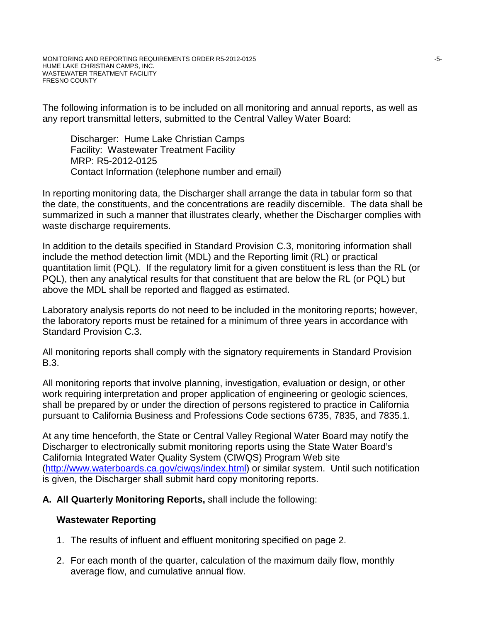The following information is to be included on all monitoring and annual reports, as well as any report transmittal letters, submitted to the Central Valley Water Board:

Discharger: Hume Lake Christian Camps Facility: Wastewater Treatment Facility MRP: R5-2012-0125 Contact Information (telephone number and email)

In reporting monitoring data, the Discharger shall arrange the data in tabular form so that the date, the constituents, and the concentrations are readily discernible. The data shall be summarized in such a manner that illustrates clearly, whether the Discharger complies with waste discharge requirements.

In addition to the details specified in Standard Provision C.3, monitoring information shall include the method detection limit (MDL) and the Reporting limit (RL) or practical quantitation limit (PQL). If the regulatory limit for a given constituent is less than the RL (or PQL), then any analytical results for that constituent that are below the RL (or PQL) but above the MDL shall be reported and flagged as estimated.

Laboratory analysis reports do not need to be included in the monitoring reports; however, the laboratory reports must be retained for a minimum of three years in accordance with Standard Provision C.3.

All monitoring reports shall comply with the signatory requirements in Standard Provision B.3.

All monitoring reports that involve planning, investigation, evaluation or design, or other work requiring interpretation and proper application of engineering or geologic sciences, shall be prepared by or under the direction of persons registered to practice in California pursuant to California Business and Professions Code sections 6735, 7835, and 7835.1.

At any time henceforth, the State or Central Valley Regional Water Board may notify the Discharger to electronically submit monitoring reports using the State Water Board's California Integrated Water Quality System (CIWQS) Program Web site [\(http://www.waterboards.ca.gov/ciwqs/index.html\)](http://www.waterboards.ca.gov/ciwqs/index.html) or similar system. Until such notification is given, the Discharger shall submit hard copy monitoring reports.

## **A. All Quarterly Monitoring Reports,** shall include the following:

## **Wastewater Reporting**

- 1. The results of influent and effluent monitoring specified on page 2.
- 2. For each month of the quarter, calculation of the maximum daily flow, monthly average flow, and cumulative annual flow.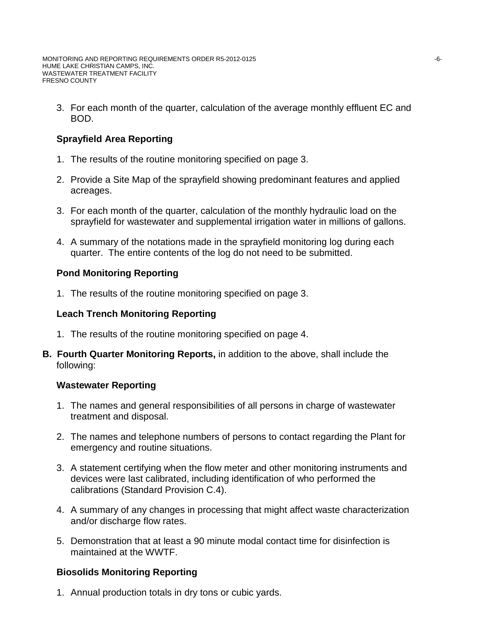3. For each month of the quarter, calculation of the average monthly effluent EC and BOD.

# **Sprayfield Area Reporting**

- 1. The results of the routine monitoring specified on page 3.
- 2. Provide a Site Map of the sprayfield showing predominant features and applied acreages.
- 3. For each month of the quarter, calculation of the monthly hydraulic load on the sprayfield for wastewater and supplemental irrigation water in millions of gallons.
- 4. A summary of the notations made in the sprayfield monitoring log during each quarter. The entire contents of the log do not need to be submitted.

# **Pond Monitoring Reporting**

1. The results of the routine monitoring specified on page 3.

# **Leach Trench Monitoring Reporting**

- 1. The results of the routine monitoring specified on page 4.
- **B. Fourth Quarter Monitoring Reports,** in addition to the above, shall include the following:

## **Wastewater Reporting**

- 1. The names and general responsibilities of all persons in charge of wastewater treatment and disposal.
- 2. The names and telephone numbers of persons to contact regarding the Plant for emergency and routine situations.
- 3. A statement certifying when the flow meter and other monitoring instruments and devices were last calibrated, including identification of who performed the calibrations (Standard Provision C.4).
- 4. A summary of any changes in processing that might affect waste characterization and/or discharge flow rates.
- 5. Demonstration that at least a 90 minute modal contact time for disinfection is maintained at the WWTF.

# **Biosolids Monitoring Reporting**

1. Annual production totals in dry tons or cubic yards.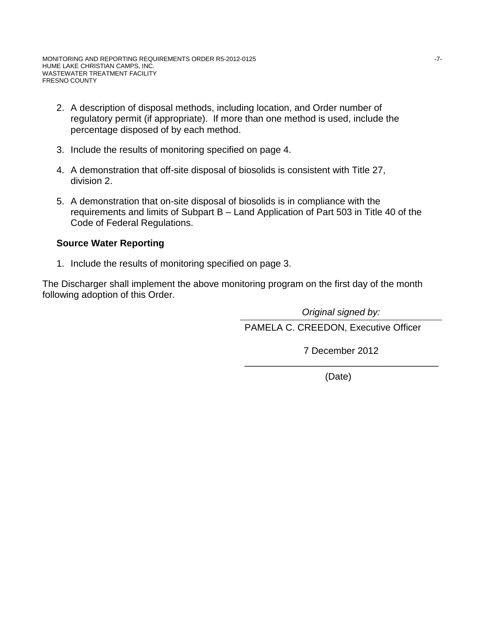- 2. A description of disposal methods, including location, and Order number of regulatory permit (if appropriate). If more than one method is used, include the percentage disposed of by each method.
- 3. Include the results of monitoring specified on page 4.
- 4. A demonstration that off-site disposal of biosolids is consistent with Title 27, division 2.
- 5. A demonstration that on-site disposal of biosolids is in compliance with the requirements and limits of Subpart B – Land Application of Part 503 in Title 40 of the Code of Federal Regulations.

#### **Source Water Reporting**

1. Include the results of monitoring specified on page 3.

The Discharger shall implement the above monitoring program on the first day of the month following adoption of this Order.

*Original signed by:*

PAMELA C. CREEDON, Executive Officer

7 December 2012 \_\_\_\_\_\_\_\_\_\_\_\_\_\_\_\_\_\_\_\_\_\_\_\_\_\_\_\_\_\_\_\_\_\_\_\_\_

(Date)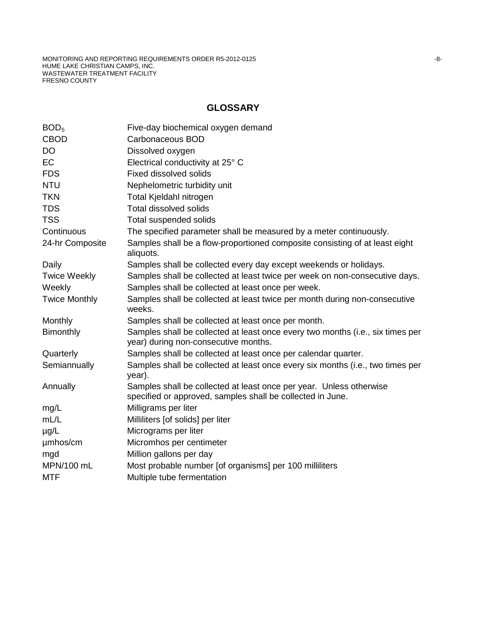#### **GLOSSARY**

| BOD <sub>5</sub>     | Five-day biochemical oxygen demand                                                                                                |
|----------------------|-----------------------------------------------------------------------------------------------------------------------------------|
| <b>CBOD</b>          | Carbonaceous BOD                                                                                                                  |
| <b>DO</b>            | Dissolved oxygen                                                                                                                  |
| <b>EC</b>            | Electrical conductivity at 25° C                                                                                                  |
| <b>FDS</b>           | <b>Fixed dissolved solids</b>                                                                                                     |
| <b>NTU</b>           | Nephelometric turbidity unit                                                                                                      |
| <b>TKN</b>           | Total Kjeldahl nitrogen                                                                                                           |
| <b>TDS</b>           | <b>Total dissolved solids</b>                                                                                                     |
| <b>TSS</b>           | Total suspended solids                                                                                                            |
| Continuous           | The specified parameter shall be measured by a meter continuously.                                                                |
| 24-hr Composite      | Samples shall be a flow-proportioned composite consisting of at least eight<br>aliquots.                                          |
| Daily                | Samples shall be collected every day except weekends or holidays.                                                                 |
| <b>Twice Weekly</b>  | Samples shall be collected at least twice per week on non-consecutive days.                                                       |
| Weekly               | Samples shall be collected at least once per week.                                                                                |
| <b>Twice Monthly</b> | Samples shall be collected at least twice per month during non-consecutive<br>weeks.                                              |
| Monthly              | Samples shall be collected at least once per month.                                                                               |
| <b>Bimonthly</b>     | Samples shall be collected at least once every two months (i.e., six times per<br>year) during non-consecutive months.            |
| Quarterly            | Samples shall be collected at least once per calendar quarter.                                                                    |
| Semiannually         | Samples shall be collected at least once every six months (i.e., two times per<br>year).                                          |
| Annually             | Samples shall be collected at least once per year. Unless otherwise<br>specified or approved, samples shall be collected in June. |
| mg/L                 | Milligrams per liter                                                                                                              |
| mL/L                 | Milliliters [of solids] per liter                                                                                                 |
| $\mu$ g/L            | Micrograms per liter                                                                                                              |
| umhos/cm             | Micromhos per centimeter                                                                                                          |
| mgd                  | Million gallons per day                                                                                                           |
| MPN/100 mL           | Most probable number [of organisms] per 100 milliliters                                                                           |
| <b>MTF</b>           | Multiple tube fermentation                                                                                                        |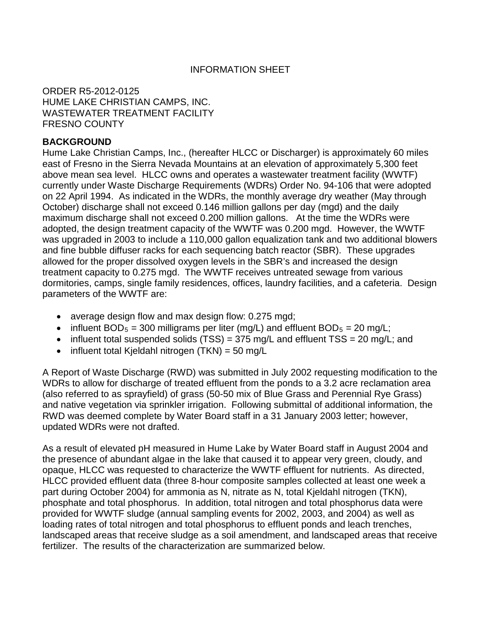## INFORMATION SHEET

ORDER R5-2012-0125 HUME LAKE CHRISTIAN CAMPS, INC. WASTEWATER TREATMENT FACILITY FRESNO COUNTY

#### **BACKGROUND**

Hume Lake Christian Camps, Inc., (hereafter HLCC or Discharger) is approximately 60 miles east of Fresno in the Sierra Nevada Mountains at an elevation of approximately 5,300 feet above mean sea level. HLCC owns and operates a wastewater treatment facility (WWTF) currently under Waste Discharge Requirements (WDRs) Order No. 94-106 that were adopted on 22 April 1994. As indicated in the WDRs, the monthly average dry weather (May through October) discharge shall not exceed 0.146 million gallons per day (mgd) and the daily maximum discharge shall not exceed 0.200 million gallons. At the time the WDRs were adopted, the design treatment capacity of the WWTF was 0.200 mgd. However, the WWTF was upgraded in 2003 to include a 110,000 gallon equalization tank and two additional blowers and fine bubble diffuser racks for each sequencing batch reactor (SBR). These upgrades allowed for the proper dissolved oxygen levels in the SBR's and increased the design treatment capacity to 0.275 mgd. The WWTF receives untreated sewage from various dormitories, camps, single family residences, offices, laundry facilities, and a cafeteria. Design parameters of the WWTF are:

- average design flow and max design flow: 0.275 mgd;
- influent BOD<sub>5</sub> = 300 milligrams per liter (mg/L) and effluent BOD<sub>5</sub> = 20 mg/L;
- influent total suspended solids  $(TSS) = 375$  mg/L and effluent  $TSS = 20$  mg/L; and
- influent total Kjeldahl nitrogen (TKN) = 50 mg/L

A Report of Waste Discharge (RWD) was submitted in July 2002 requesting modification to the WDRs to allow for discharge of treated effluent from the ponds to a 3.2 acre reclamation area (also referred to as sprayfield) of grass (50-50 mix of Blue Grass and Perennial Rye Grass) and native vegetation via sprinkler irrigation. Following submittal of additional information, the RWD was deemed complete by Water Board staff in a 31 January 2003 letter; however, updated WDRs were not drafted.

As a result of elevated pH measured in Hume Lake by Water Board staff in August 2004 and the presence of abundant algae in the lake that caused it to appear very green, cloudy, and opaque, HLCC was requested to characterize the WWTF effluent for nutrients. As directed, HLCC provided effluent data (three 8-hour composite samples collected at least one week a part during October 2004) for ammonia as N, nitrate as N, total Kjeldahl nitrogen (TKN), phosphate and total phosphorus. In addition, total nitrogen and total phosphorus data were provided for WWTF sludge (annual sampling events for 2002, 2003, and 2004) as well as loading rates of total nitrogen and total phosphorus to effluent ponds and leach trenches, landscaped areas that receive sludge as a soil amendment, and landscaped areas that receive fertilizer. The results of the characterization are summarized below.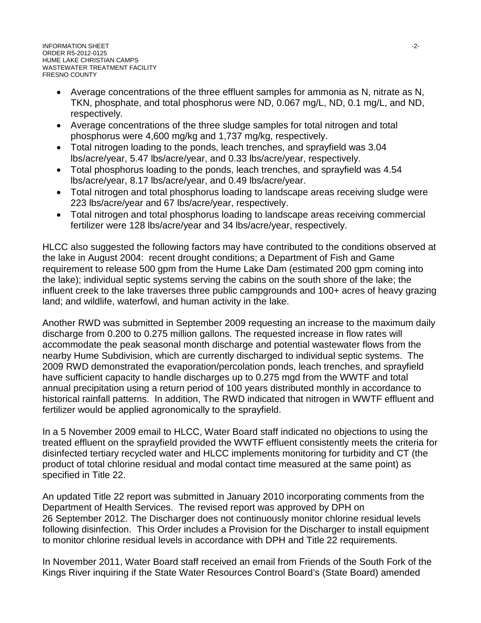- Average concentrations of the three effluent samples for ammonia as N, nitrate as N, TKN, phosphate, and total phosphorus were ND, 0.067 mg/L, ND, 0.1 mg/L, and ND, respectively.
- Average concentrations of the three sludge samples for total nitrogen and total phosphorus were 4,600 mg/kg and 1,737 mg/kg, respectively.
- Total nitrogen loading to the ponds, leach trenches, and sprayfield was 3.04 lbs/acre/year, 5.47 lbs/acre/year, and 0.33 lbs/acre/year, respectively.
- Total phosphorus loading to the ponds, leach trenches, and sprayfield was 4.54 lbs/acre/year, 8.17 lbs/acre/year, and 0.49 lbs/acre/year.
- Total nitrogen and total phosphorus loading to landscape areas receiving sludge were 223 lbs/acre/year and 67 lbs/acre/year, respectively.
- Total nitrogen and total phosphorus loading to landscape areas receiving commercial fertilizer were 128 lbs/acre/year and 34 lbs/acre/year, respectively.

HLCC also suggested the following factors may have contributed to the conditions observed at the lake in August 2004: recent drought conditions; a Department of Fish and Game requirement to release 500 gpm from the Hume Lake Dam (estimated 200 gpm coming into the lake); individual septic systems serving the cabins on the south shore of the lake; the influent creek to the lake traverses three public campgrounds and 100+ acres of heavy grazing land; and wildlife, waterfowl, and human activity in the lake.

Another RWD was submitted in September 2009 requesting an increase to the maximum daily discharge from 0.200 to 0.275 million gallons. The requested increase in flow rates will accommodate the peak seasonal month discharge and potential wastewater flows from the nearby Hume Subdivision, which are currently discharged to individual septic systems. The 2009 RWD demonstrated the evaporation/percolation ponds, leach trenches, and sprayfield have sufficient capacity to handle discharges up to 0.275 mgd from the WWTF and total annual precipitation using a return period of 100 years distributed monthly in accordance to historical rainfall patterns. In addition, The RWD indicated that nitrogen in WWTF effluent and fertilizer would be applied agronomically to the sprayfield.

In a 5 November 2009 email to HLCC, Water Board staff indicated no objections to using the treated effluent on the sprayfield provided the WWTF effluent consistently meets the criteria for disinfected tertiary recycled water and HLCC implements monitoring for turbidity and CT (the product of total chlorine residual and modal contact time measured at the same point) as specified in Title 22.

An updated Title 22 report was submitted in January 2010 incorporating comments from the Department of Health Services. The revised report was approved by DPH on 26 September 2012. The Discharger does not continuously monitor chlorine residual levels following disinfection. This Order includes a Provision for the Discharger to install equipment to monitor chlorine residual levels in accordance with DPH and Title 22 requirements.

In November 2011, Water Board staff received an email from Friends of the South Fork of the Kings River inquiring if the State Water Resources Control Board's (State Board) amended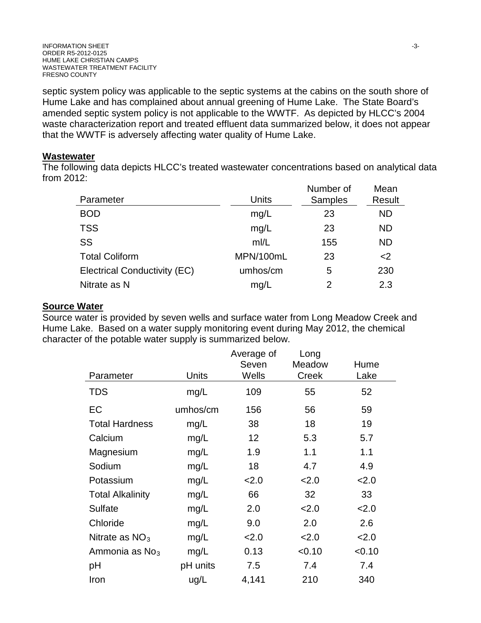septic system policy was applicable to the septic systems at the cabins on the south shore of Hume Lake and has complained about annual greening of Hume Lake. The State Board's amended septic system policy is not applicable to the WWTF. As depicted by HLCC's 2004 waste characterization report and treated effluent data summarized below, it does not appear that the WWTF is adversely affecting water quality of Hume Lake.

#### **Wastewater**

The following data depicts HLCC's treated wastewater concentrations based on analytical data from 2012:

| Result    |
|-----------|
| <b>ND</b> |
| <b>ND</b> |
| <b>ND</b> |
| <         |
| 230       |
| 2.3       |
|           |

# **Source Water**

Source water is provided by seven wells and surface water from Long Meadow Creek and Hume Lake. Based on a water supply monitoring event during May 2012, the chemical character of the potable water supply is summarized below.

|                            |          | Average of | Long         |        |
|----------------------------|----------|------------|--------------|--------|
|                            |          | Seven      | Meadow       | Hume   |
| Parameter                  | Units    | Wells      | <b>Creek</b> | Lake   |
| <b>TDS</b>                 | mg/L     | 109        | 55           | 52     |
| EC                         | umhos/cm | 156        | 56           | 59     |
| <b>Total Hardness</b>      | mg/L     | 38         | 18           | 19     |
| Calcium                    | mg/L     | 12         | 5.3          | 5.7    |
| Magnesium                  | mg/L     | 1.9        | 1.1          | 1.1    |
| Sodium                     | mg/L     | 18         | 4.7          | 4.9    |
| Potassium                  | mg/L     | 2.0        | 2.0          | 2.0    |
| <b>Total Alkalinity</b>    | mg/L     | 66         | 32           | 33     |
| <b>Sulfate</b>             | mg/L     | 2.0        | 2.0          | 2.0    |
| Chloride                   | mg/L     | 9.0        | 2.0          | 2.6    |
| Nitrate as $NO3$           | mg/L     | 2.0        | 2.0          | 2.0    |
| Ammonia as No <sub>3</sub> | mg/L     | 0.13       | < 0.10       | < 0.10 |
| рH                         | pH units | 7.5        | 7.4          | 7.4    |
| Iron                       | ug/L     | 4,141      | 210          | 340    |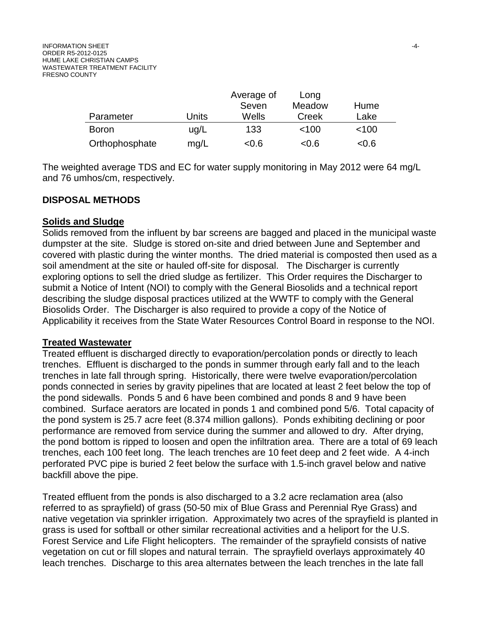|                |       | Average of |        |         |
|----------------|-------|------------|--------|---------|
|                |       | Seven      | Meadow | Hume    |
| Parameter      | Units | Wells      | Creek  | Lake    |
| <b>Boron</b>   | uq/L  | 133        | < 100  | $<$ 100 |
| Orthophosphate | mg/L  | < 0.6      | < 0.6  | < 0.6   |

The weighted average TDS and EC for water supply monitoring in May 2012 were 64 mg/L and 76 umhos/cm, respectively.

#### **DISPOSAL METHODS**

#### **Solids and Sludge**

Solids removed from the influent by bar screens are bagged and placed in the municipal waste dumpster at the site. Sludge is stored on-site and dried between June and September and covered with plastic during the winter months. The dried material is composted then used as a soil amendment at the site or hauled off-site for disposal. The Discharger is currently exploring options to sell the dried sludge as fertilizer. This Order requires the Discharger to submit a Notice of Intent (NOI) to comply with the General Biosolids and a technical report describing the sludge disposal practices utilized at the WWTF to comply with the General Biosolids Order. The Discharger is also required to provide a copy of the Notice of Applicability it receives from the State Water Resources Control Board in response to the NOI.

#### **Treated Wastewater**

Treated effluent is discharged directly to evaporation/percolation ponds or directly to leach trenches. Effluent is discharged to the ponds in summer through early fall and to the leach trenches in late fall through spring. Historically, there were twelve evaporation/percolation ponds connected in series by gravity pipelines that are located at least 2 feet below the top of the pond sidewalls. Ponds 5 and 6 have been combined and ponds 8 and 9 have been combined. Surface aerators are located in ponds 1 and combined pond 5/6. Total capacity of the pond system is 25.7 acre feet (8.374 million gallons). Ponds exhibiting declining or poor performance are removed from service during the summer and allowed to dry. After drying, the pond bottom is ripped to loosen and open the infiltration area. There are a total of 69 leach trenches, each 100 feet long. The leach trenches are 10 feet deep and 2 feet wide. A 4-inch perforated PVC pipe is buried 2 feet below the surface with 1.5-inch gravel below and native backfill above the pipe.

Treated effluent from the ponds is also discharged to a 3.2 acre reclamation area (also referred to as sprayfield) of grass (50-50 mix of Blue Grass and Perennial Rye Grass) and native vegetation via sprinkler irrigation. Approximately two acres of the sprayfield is planted in grass is used for softball or other similar recreational activities and a heliport for the U.S. Forest Service and Life Flight helicopters. The remainder of the sprayfield consists of native vegetation on cut or fill slopes and natural terrain. The sprayfield overlays approximately 40 leach trenches. Discharge to this area alternates between the leach trenches in the late fall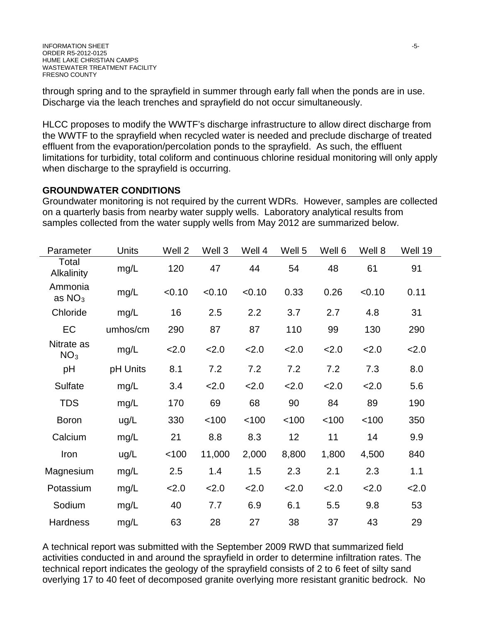through spring and to the sprayfield in summer through early fall when the ponds are in use. Discharge via the leach trenches and sprayfield do not occur simultaneously.

HLCC proposes to modify the WWTF's discharge infrastructure to allow direct discharge from the WWTF to the sprayfield when recycled water is needed and preclude discharge of treated effluent from the evaporation/percolation ponds to the sprayfield. As such, the effluent limitations for turbidity, total coliform and continuous chlorine residual monitoring will only apply when discharge to the sprayfield is occurring.

# **GROUNDWATER CONDITIONS**

Groundwater monitoring is not required by the current WDRs. However, samples are collected on a quarterly basis from nearby water supply wells. Laboratory analytical results from samples collected from the water supply wells from May 2012 are summarized below.

| Parameter                     | Units    | Well 2 | Well 3 | Well 4 | Well 5 | Well 6 | Well 8 | Well 19 |
|-------------------------------|----------|--------|--------|--------|--------|--------|--------|---------|
| Total<br><b>Alkalinity</b>    | mg/L     | 120    | 47     | 44     | 54     | 48     | 61     | 91      |
| Ammonia<br>as $NO3$           | mg/L     | < 0.10 | < 0.10 | < 0.10 | 0.33   | 0.26   | < 0.10 | 0.11    |
| Chloride                      | mg/L     | 16     | 2.5    | 2.2    | 3.7    | 2.7    | 4.8    | 31      |
| EC                            | umhos/cm | 290    | 87     | 87     | 110    | 99     | 130    | 290     |
| Nitrate as<br>NO <sub>3</sub> | mg/L     | 2.0    | 2.0    | 2.0    | 2.0    | 2.0    | 2.0    | 2.0     |
| pH                            | pH Units | 8.1    | 7.2    | 7.2    | 7.2    | 7.2    | 7.3    | 8.0     |
| <b>Sulfate</b>                | mg/L     | 3.4    | 2.0    | 2.0    | 2.0    | 2.0    | 2.0    | 5.6     |
| <b>TDS</b>                    | mg/L     | 170    | 69     | 68     | 90     | 84     | 89     | 190     |
| <b>Boron</b>                  | ug/L     | 330    | < 100  | < 100  | < 100  | < 100  | < 100  | 350     |
| Calcium                       | mg/L     | 21     | 8.8    | 8.3    | 12     | 11     | 14     | 9.9     |
| Iron                          | ug/L     | < 100  | 11,000 | 2,000  | 8,800  | 1,800  | 4,500  | 840     |
| Magnesium                     | mg/L     | 2.5    | 1.4    | 1.5    | 2.3    | 2.1    | 2.3    | 1.1     |
| Potassium                     | mg/L     | 2.0    | 2.0    | 2.0    | 2.0    | 2.0    | 2.0    | 2.0     |
| Sodium                        | mg/L     | 40     | 7.7    | 6.9    | 6.1    | 5.5    | 9.8    | 53      |
| Hardness                      | mg/L     | 63     | 28     | 27     | 38     | 37     | 43     | 29      |

A technical report was submitted with the September 2009 RWD that summarized field activities conducted in and around the sprayfield in order to determine infiltration rates. The technical report indicates the geology of the sprayfield consists of 2 to 6 feet of silty sand overlying 17 to 40 feet of decomposed granite overlying more resistant granitic bedrock. No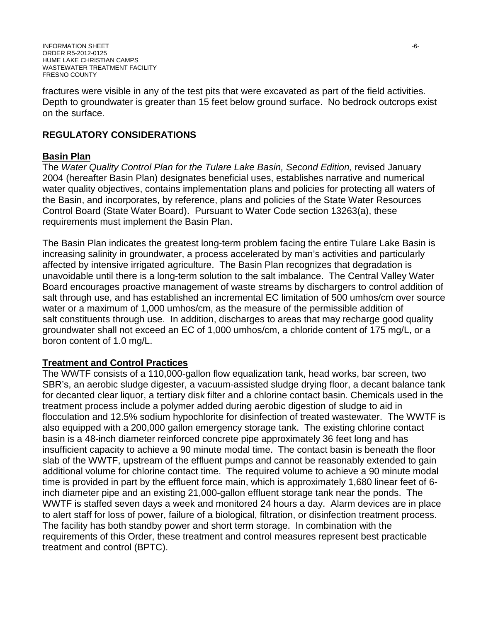fractures were visible in any of the test pits that were excavated as part of the field activities. Depth to groundwater is greater than 15 feet below ground surface. No bedrock outcrops exist on the surface.

# **REGULATORY CONSIDERATIONS**

#### **Basin Plan**

The *Water Quality Control Plan for the Tulare Lake Basin, Second Edition, revised January* 2004 (hereafter Basin Plan) designates beneficial uses, establishes narrative and numerical water quality objectives, contains implementation plans and policies for protecting all waters of the Basin, and incorporates, by reference, plans and policies of the State Water Resources Control Board (State Water Board). Pursuant to Water Code section 13263(a), these requirements must implement the Basin Plan.

The Basin Plan indicates the greatest long-term problem facing the entire Tulare Lake Basin is increasing salinity in groundwater, a process accelerated by man's activities and particularly affected by intensive irrigated agriculture. The Basin Plan recognizes that degradation is unavoidable until there is a long-term solution to the salt imbalance. The Central Valley Water Board encourages proactive management of waste streams by dischargers to control addition of salt through use, and has established an incremental EC limitation of 500 umhos/cm over source water or a maximum of 1,000 umhos/cm, as the measure of the permissible addition of salt constituents through use. In addition, discharges to areas that may recharge good quality groundwater shall not exceed an EC of 1,000 umhos/cm, a chloride content of 175 mg/L, or a boron content of 1.0 mg/L.

## **Treatment and Control Practices**

The WWTF consists of a 110,000-gallon flow equalization tank, head works, bar screen, two SBR's, an aerobic sludge digester, a vacuum-assisted sludge drying floor, a decant balance tank for decanted clear liquor, a tertiary disk filter and a chlorine contact basin. Chemicals used in the treatment process include a polymer added during aerobic digestion of sludge to aid in flocculation and 12.5% sodium hypochlorite for disinfection of treated wastewater. The WWTF is also equipped with a 200,000 gallon emergency storage tank. The existing chlorine contact basin is a 48-inch diameter reinforced concrete pipe approximately 36 feet long and has insufficient capacity to achieve a 90 minute modal time. The contact basin is beneath the floor slab of the WWTF, upstream of the effluent pumps and cannot be reasonably extended to gain additional volume for chlorine contact time. The required volume to achieve a 90 minute modal time is provided in part by the effluent force main, which is approximately 1,680 linear feet of 6 inch diameter pipe and an existing 21,000-gallon effluent storage tank near the ponds. The WWTF is staffed seven days a week and monitored 24 hours a day. Alarm devices are in place to alert staff for loss of power, failure of a biological, filtration, or disinfection treatment process. The facility has both standby power and short term storage. In combination with the requirements of this Order, these treatment and control measures represent best practicable treatment and control (BPTC).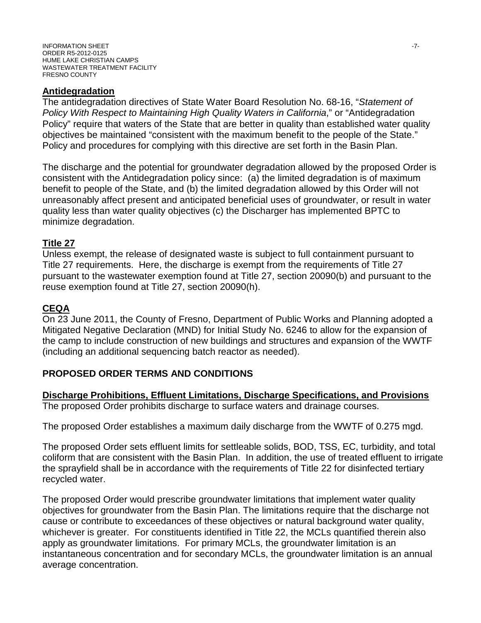#### **Antidegradation**

The antidegradation directives of State Water Board Resolution No. 68-16, "*Statement of Policy With Respect to Maintaining High Quality Waters in California*," or "Antidegradation Policy" require that waters of the State that are better in quality than established water quality objectives be maintained "consistent with the maximum benefit to the people of the State." Policy and procedures for complying with this directive are set forth in the Basin Plan.

The discharge and the potential for groundwater degradation allowed by the proposed Order is consistent with the Antidegradation policy since: (a) the limited degradation is of maximum benefit to people of the State, and (b) the limited degradation allowed by this Order will not unreasonably affect present and anticipated beneficial uses of groundwater, or result in water quality less than water quality objectives (c) the Discharger has implemented BPTC to minimize degradation.

#### **Title 27**

Unless exempt, the release of designated waste is subject to full containment pursuant to Title 27 requirements. Here, the discharge is exempt from the requirements of Title 27 pursuant to the wastewater exemption found at Title 27, section 20090(b) and pursuant to the reuse exemption found at Title 27, section 20090(h).

## **CEQA**

On 23 June 2011, the County of Fresno, Department of Public Works and Planning adopted a Mitigated Negative Declaration (MND) for Initial Study No. 6246 to allow for the expansion of the camp to include construction of new buildings and structures and expansion of the WWTF (including an additional sequencing batch reactor as needed).

## **PROPOSED ORDER TERMS AND CONDITIONS**

**Discharge Prohibitions, Effluent Limitations, Discharge Specifications, and Provisions** The proposed Order prohibits discharge to surface waters and drainage courses.

The proposed Order establishes a maximum daily discharge from the WWTF of 0.275 mgd.

The proposed Order sets effluent limits for settleable solids, BOD, TSS, EC, turbidity, and total coliform that are consistent with the Basin Plan. In addition, the use of treated effluent to irrigate the sprayfield shall be in accordance with the requirements of Title 22 for disinfected tertiary recycled water.

The proposed Order would prescribe groundwater limitations that implement water quality objectives for groundwater from the Basin Plan. The limitations require that the discharge not cause or contribute to exceedances of these objectives or natural background water quality, whichever is greater. For constituents identified in Title 22, the MCLs quantified therein also apply as groundwater limitations. For primary MCLs, the groundwater limitation is an instantaneous concentration and for secondary MCLs, the groundwater limitation is an annual average concentration.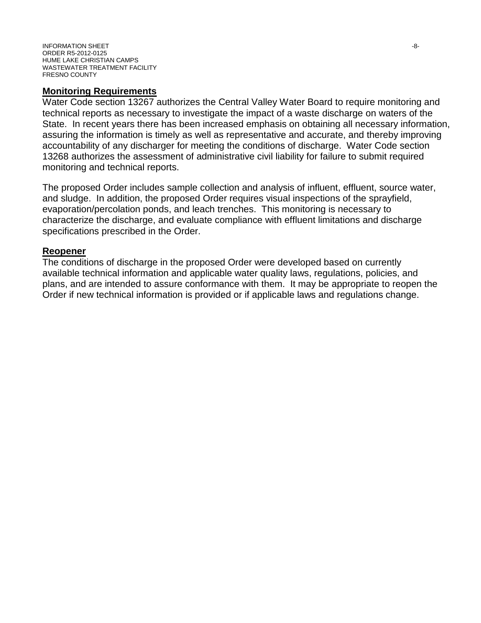#### **Monitoring Requirements**

Water Code section 13267 authorizes the Central Valley Water Board to require monitoring and technical reports as necessary to investigate the impact of a waste discharge on waters of the State. In recent years there has been increased emphasis on obtaining all necessary information, assuring the information is timely as well as representative and accurate, and thereby improving accountability of any discharger for meeting the conditions of discharge. Water Code section 13268 authorizes the assessment of administrative civil liability for failure to submit required monitoring and technical reports.

The proposed Order includes sample collection and analysis of influent, effluent, source water, and sludge. In addition, the proposed Order requires visual inspections of the sprayfield, evaporation/percolation ponds, and leach trenches. This monitoring is necessary to characterize the discharge, and evaluate compliance with effluent limitations and discharge specifications prescribed in the Order.

#### **Reopener**

The conditions of discharge in the proposed Order were developed based on currently available technical information and applicable water quality laws, regulations, policies, and plans, and are intended to assure conformance with them. It may be appropriate to reopen the Order if new technical information is provided or if applicable laws and regulations change.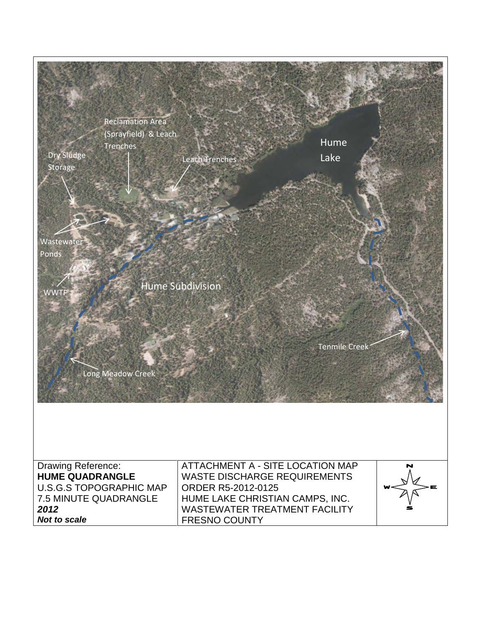